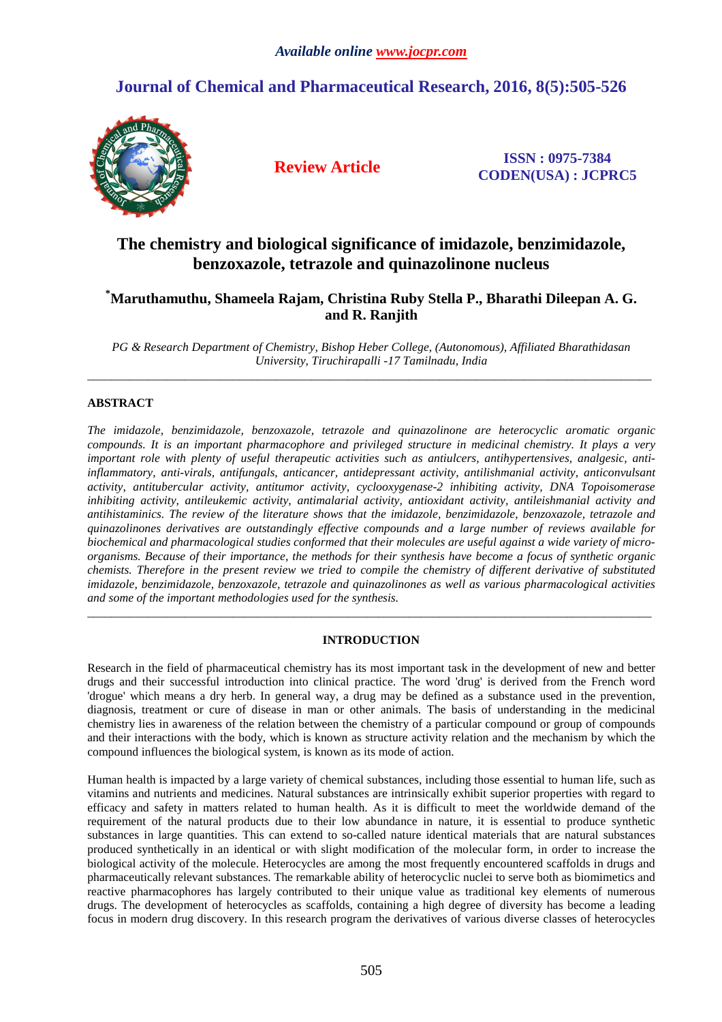# **Journal of Chemical and Pharmaceutical Research, 2016, 8(5):505-526**



**Review Article ISSN : 0975-7384 CODEN(USA) : JCPRC5**

# **The chemistry and biological significance of imidazole, benzimidazole, benzoxazole, tetrazole and quinazolinone nucleus**

# **\*Maruthamuthu, Shameela Rajam, Christina Ruby Stella P., Bharathi Dileepan A. G. and R. Ranjith**

*PG & Research Department of Chemistry, Bishop Heber College, (Autonomous), Affiliated Bharathidasan University, Tiruchirapalli -17 Tamilnadu, India*   $\overline{a}$  , and the contribution of the contribution of the contribution of the contribution of the contribution of the contribution of the contribution of the contribution of the contribution of the contribution of the co

# **ABSTRACT**

*The imidazole, benzimidazole, benzoxazole, tetrazole and quinazolinone are heterocyclic aromatic organic compounds. It is an important pharmacophore and privileged structure in medicinal chemistry. It plays a very important role with plenty of useful therapeutic activities such as antiulcers, antihypertensives, analgesic, antiinflammatory, anti-virals, antifungals, anticancer, antidepressant activity, antilishmanial activity, anticonvulsant activity, antitubercular activity, antitumor activity, cyclooxygenase-2 inhibiting activity, DNA Topoisomerase inhibiting activity, antileukemic activity, antimalarial activity, antioxidant activity, antileishmanial activity and antihistaminics. The review of the literature shows that the imidazole, benzimidazole, benzoxazole, tetrazole and quinazolinones derivatives are outstandingly effective compounds and a large number of reviews available for biochemical and pharmacological studies conformed that their molecules are useful against a wide variety of microorganisms. Because of their importance, the methods for their synthesis have become a focus of synthetic organic chemists. Therefore in the present review we tried to compile the chemistry of different derivative of substituted imidazole, benzimidazole, benzoxazole, tetrazole and quinazolinones as well as various pharmacological activities and some of the important methodologies used for the synthesis.*  \_\_\_\_\_\_\_\_\_\_\_\_\_\_\_\_\_\_\_\_\_\_\_\_\_\_\_\_\_\_\_\_\_\_\_\_\_\_\_\_\_\_\_\_\_\_\_\_\_\_\_\_\_\_\_\_\_\_\_\_\_\_\_\_\_\_\_\_\_\_\_\_\_\_\_\_\_\_\_\_\_\_\_\_\_\_\_\_\_\_\_\_\_

# **INTRODUCTION**

Research in the field of pharmaceutical chemistry has its most important task in the development of new and better drugs and their successful introduction into clinical practice. The word 'drug' is derived from the French word 'drogue' which means a dry herb. In general way, a drug may be defined as a substance used in the prevention, diagnosis, treatment or cure of disease in man or other animals. The basis of understanding in the medicinal chemistry lies in awareness of the relation between the chemistry of a particular compound or group of compounds and their interactions with the body, which is known as structure activity relation and the mechanism by which the compound influences the biological system, is known as its mode of action.

Human health is impacted by a large variety of chemical substances, including those essential to human life, such as vitamins and nutrients and medicines. Natural substances are intrinsically exhibit superior properties with regard to efficacy and safety in matters related to human health. As it is difficult to meet the worldwide demand of the requirement of the natural products due to their low abundance in nature, it is essential to produce synthetic substances in large quantities. This can extend to so-called nature identical materials that are natural substances produced synthetically in an identical or with slight modification of the molecular form, in order to increase the biological activity of the molecule. Heterocycles are among the most frequently encountered scaffolds in drugs and pharmaceutically relevant substances. The remarkable ability of heterocyclic nuclei to serve both as biomimetics and reactive pharmacophores has largely contributed to their unique value as traditional key elements of numerous drugs. The development of heterocycles as scaffolds, containing a high degree of diversity has become a leading focus in modern drug discovery. In this research program the derivatives of various diverse classes of heterocycles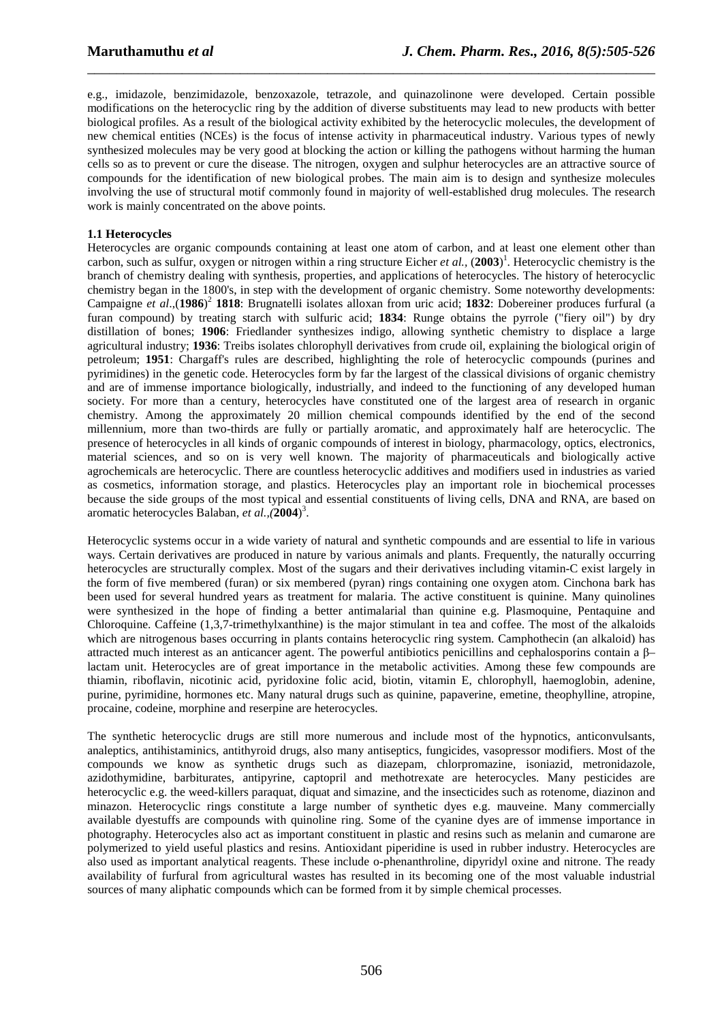e.g., imidazole, benzimidazole, benzoxazole, tetrazole, and quinazolinone were developed. Certain possible modifications on the heterocyclic ring by the addition of diverse substituents may lead to new products with better biological profiles. As a result of the biological activity exhibited by the heterocyclic molecules, the development of new chemical entities (NCEs) is the focus of intense activity in pharmaceutical industry. Various types of newly synthesized molecules may be very good at blocking the action or killing the pathogens without harming the human cells so as to prevent or cure the disease. The nitrogen, oxygen and sulphur heterocycles are an attractive source of compounds for the identification of new biological probes. The main aim is to design and synthesize molecules involving the use of structural motif commonly found in majority of well-established drug molecules. The research work is mainly concentrated on the above points.

\_\_\_\_\_\_\_\_\_\_\_\_\_\_\_\_\_\_\_\_\_\_\_\_\_\_\_\_\_\_\_\_\_\_\_\_\_\_\_\_\_\_\_\_\_\_\_\_\_\_\_\_\_\_\_\_\_\_\_\_\_\_\_\_\_\_\_\_\_\_\_\_\_\_\_\_\_\_

## **1.1 Heterocycles**

Heterocycles are organic compounds containing at least one atom of carbon, and at least one element other than carbon, such as sulfur, oxygen or nitrogen within a ring structure Eicher *et al.,* (**2003**) 1 . Heterocyclic chemistry is the branch of chemistry dealing with synthesis, properties, and applications of heterocycles. The history of heterocyclic chemistry began in the 1800's, in step with the development of organic chemistry. Some noteworthy developments: Campaigne *et al*.,(**1986**) 2 **1818**: Brugnatelli isolates alloxan from uric acid; **1832**: Dobereiner produces furfural (a furan compound) by treating starch with sulfuric acid; **1834**: Runge obtains the pyrrole ("fiery oil") by dry distillation of bones; **1906**: Friedlander synthesizes indigo, allowing synthetic chemistry to displace a large agricultural industry; **1936**: Treibs isolates chlorophyll derivatives from crude oil, explaining the biological origin of petroleum; **1951**: Chargaff's rules are described, highlighting the role of heterocyclic compounds (purines and pyrimidines) in the genetic code. Heterocycles form by far the largest of the classical divisions of organic chemistry and are of immense importance biologically, industrially, and indeed to the functioning of any developed human society. For more than a century, heterocycles have constituted one of the largest area of research in organic chemistry. Among the approximately 20 million chemical compounds identified by the end of the second millennium, more than two-thirds are fully or partially aromatic, and approximately half are heterocyclic. The presence of heterocycles in all kinds of organic compounds of interest in biology, pharmacology, optics, electronics, material sciences, and so on is very well known. The majority of pharmaceuticals and biologically active agrochemicals are heterocyclic. There are countless heterocyclic additives and modifiers used in industries as varied as cosmetics, information storage, and plastics. Heterocycles play an important role in biochemical processes because the side groups of the most typical and essential constituents of living cells, DNA and RNA, are based on aromatic heterocycles Balaban, *et al.,(***2004**) 3 .

Heterocyclic systems occur in a wide variety of natural and synthetic compounds and are essential to life in various ways. Certain derivatives are produced in nature by various animals and plants. Frequently, the naturally occurring heterocycles are structurally complex. Most of the sugars and their derivatives including vitamin-C exist largely in the form of five membered (furan) or six membered (pyran) rings containing one oxygen atom. Cinchona bark has been used for several hundred years as treatment for malaria. The active constituent is quinine. Many quinolines were synthesized in the hope of finding a better antimalarial than quinine e.g. Plasmoquine, Pentaquine and Chloroquine. Caffeine (1,3,7-trimethylxanthine) is the major stimulant in tea and coffee. The most of the alkaloids which are nitrogenous bases occurring in plants contains heterocyclic ring system. Camphothecin (an alkaloid) has attracted much interest as an anticancer agent. The powerful antibiotics penicillins and cephalosporins contain a β– lactam unit. Heterocycles are of great importance in the metabolic activities. Among these few compounds are thiamin, riboflavin, nicotinic acid, pyridoxine folic acid, biotin, vitamin E, chlorophyll, haemoglobin, adenine, purine, pyrimidine, hormones etc. Many natural drugs such as quinine, papaverine, emetine, theophylline, atropine, procaine, codeine, morphine and reserpine are heterocycles.

The synthetic heterocyclic drugs are still more numerous and include most of the hypnotics, anticonvulsants, analeptics, antihistaminics, antithyroid drugs, also many antiseptics, fungicides, vasopressor modifiers. Most of the compounds we know as synthetic drugs such as diazepam, chlorpromazine, isoniazid, metronidazole, azidothymidine, barbiturates, antipyrine, captopril and methotrexate are heterocycles. Many pesticides are heterocyclic e.g. the weed-killers paraquat, diquat and simazine, and the insecticides such as rotenome, diazinon and minazon. Heterocyclic rings constitute a large number of synthetic dyes e.g. mauveine. Many commercially available dyestuffs are compounds with quinoline ring. Some of the cyanine dyes are of immense importance in photography. Heterocycles also act as important constituent in plastic and resins such as melanin and cumarone are polymerized to yield useful plastics and resins. Antioxidant piperidine is used in rubber industry. Heterocycles are also used as important analytical reagents. These include o-phenanthroline, dipyridyl oxine and nitrone. The ready availability of furfural from agricultural wastes has resulted in its becoming one of the most valuable industrial sources of many aliphatic compounds which can be formed from it by simple chemical processes.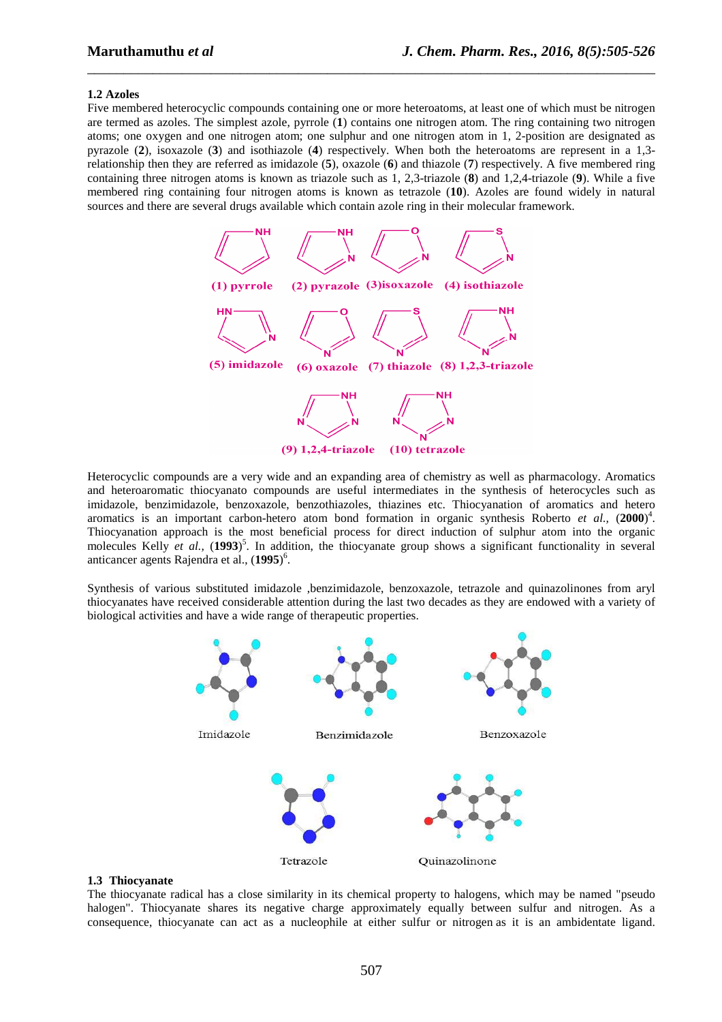#### **1.2 Azoles**

Five membered heterocyclic compounds containing one or more heteroatoms, at least one of which must be nitrogen are termed as azoles. The simplest azole, pyrrole (**1**) contains one nitrogen atom. The ring containing two nitrogen atoms; one oxygen and one nitrogen atom; one sulphur and one nitrogen atom in 1, 2-position are designated as pyrazole (**2**), isoxazole (**3**) and isothiazole (**4**) respectively. When both the heteroatoms are represent in a 1,3 relationship then they are referred as imidazole (**5**), oxazole (**6**) and thiazole (**7**) respectively. A five membered ring containing three nitrogen atoms is known as triazole such as 1, 2,3-triazole (**8**) and 1,2,4-triazole (**9**). While a five membered ring containing four nitrogen atoms is known as tetrazole (**10**). Azoles are found widely in natural sources and there are several drugs available which contain azole ring in their molecular framework.

\_\_\_\_\_\_\_\_\_\_\_\_\_\_\_\_\_\_\_\_\_\_\_\_\_\_\_\_\_\_\_\_\_\_\_\_\_\_\_\_\_\_\_\_\_\_\_\_\_\_\_\_\_\_\_\_\_\_\_\_\_\_\_\_\_\_\_\_\_\_\_\_\_\_\_\_\_\_



Heterocyclic compounds are a very wide and an expanding area of chemistry as well as pharmacology. Aromatics and heteroaromatic thiocyanato compounds are useful intermediates in the synthesis of heterocycles such as imidazole, benzimidazole, benzoxazole, benzothiazoles, thiazines etc. Thiocyanation of aromatics and hetero aromatics is an important carbon-hetero atom bond formation in organic synthesis Roberto *et al.,* (**2000**) 4 . Thiocyanation approach is the most beneficial process for direct induction of sulphur atom into the organic molecules Kelly *et al.,* (**1993**) 5 . In addition, the thiocyanate group shows a significant functionality in several anticancer agents Rajendra et al., (**1995**) 6 .

Synthesis of various substituted imidazole ,benzimidazole, benzoxazole, tetrazole and quinazolinones from aryl thiocyanates have received considerable attention during the last two decades as they are endowed with a variety of biological activities and have a wide range of therapeutic properties.



#### **1.3 Thiocyanate**

The thiocyanate radical has a close similarity in its chemical property to halogens, which may be named "pseudo halogen". Thiocyanate shares its negative charge approximately equally between sulfur and nitrogen. As a consequence, thiocyanate can act as a nucleophile at either sulfur or nitrogen as it is an ambidentate ligand.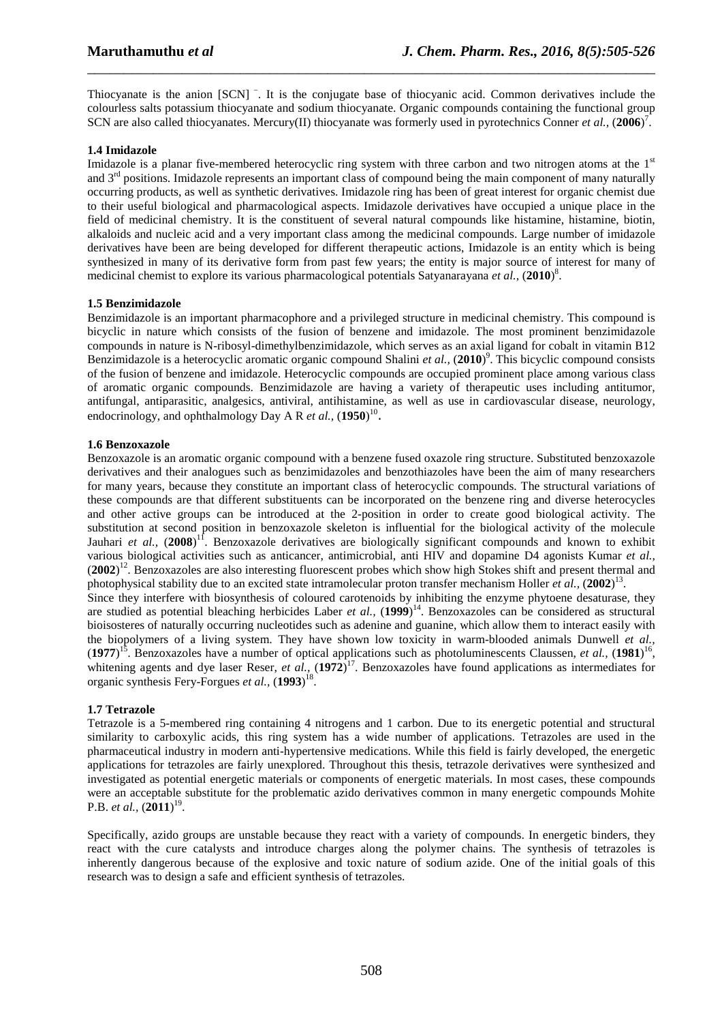Thiocyanate is the anion [SCN]<sup>−</sup>. It is the conjugate base of thiocyanic acid. Common derivatives include the colourless salts potassium thiocyanate and sodium thiocyanate. Organic compounds containing the functional group SCN are also called thiocyanates. Mercury(II) thiocyanate was formerly used in pyrotechnics Conner *et al.*, (2006)<sup>7</sup>.

\_\_\_\_\_\_\_\_\_\_\_\_\_\_\_\_\_\_\_\_\_\_\_\_\_\_\_\_\_\_\_\_\_\_\_\_\_\_\_\_\_\_\_\_\_\_\_\_\_\_\_\_\_\_\_\_\_\_\_\_\_\_\_\_\_\_\_\_\_\_\_\_\_\_\_\_\_\_

## **1.4 Imidazole**

Imidazole is a planar five-membered heterocyclic ring system with three carbon and two nitrogen atoms at the  $1<sup>st</sup>$ and 3<sup>rd</sup> positions. Imidazole represents an important class of compound being the main component of many naturally occurring products, as well as synthetic derivatives. Imidazole ring has been of great interest for organic chemist due to their useful biological and pharmacological aspects. Imidazole derivatives have occupied a unique place in the field of medicinal chemistry. It is the constituent of several natural compounds like histamine, histamine, biotin, alkaloids and nucleic acid and a very important class among the medicinal compounds. Large number of imidazole derivatives have been are being developed for different therapeutic actions, Imidazole is an entity which is being synthesized in many of its derivative form from past few years; the entity is major source of interest for many of medicinal chemist to explore its various pharmacological potentials Satyanarayana *et al.,* (**2010**) 8 .

## **1.5 Benzimidazole**

Benzimidazole is an important pharmacophore and a privileged structure in medicinal chemistry. This compound is bicyclic in nature which consists of the fusion of benzene and imidazole. The most prominent benzimidazole compounds in nature is N-ribosyl-dimethylbenzimidazole, which serves as an axial ligand for cobalt in vitamin B12 Benzimidazole is a heterocyclic aromatic organic compound Shalini *et al.,* (**2010**) 9 . This bicyclic compound consists of the fusion of benzene and imidazole. Heterocyclic compounds are occupied prominent place among various class of aromatic organic compounds. Benzimidazole are having a variety of therapeutic uses including antitumor, antifungal, antiparasitic, analgesics, antiviral, antihistamine, as well as use in cardiovascular disease, neurology, endocrinology, and ophthalmology Day A R *et al.,* (**1950**) 10 .

## **1.6 Benzoxazole**

Benzoxazole is an aromatic organic compound with a benzene fused oxazole ring structure. Substituted benzoxazole derivatives and their analogues such as benzimidazoles and benzothiazoles have been the aim of many researchers for many years, because they constitute an important class of heterocyclic compounds. The structural variations of these compounds are that different substituents can be incorporated on the benzene ring and diverse heterocycles and other active groups can be introduced at the 2-position in order to create good biological activity. The substitution at second position in benzoxazole skeleton is influential for the biological activity of the molecule Jauhari *et al.*, (2008)<sup>11</sup>. Benzoxazole derivatives are biologically significant compounds and known to exhibit various biological activities such as anticancer, antimicrobial, anti HIV and dopamine D4 agonists Kumar *et al.,* (**2002**) <sup>12</sup>. Benzoxazoles are also interesting fluorescent probes which show high Stokes shift and present thermal and photophysical stability due to an excited state intramolecular proton transfer mechanism Holler *et al.,* (**2002**) 13 . Since they interfere with biosynthesis of coloured carotenoids by inhibiting the enzyme phytoene desaturase, they are studied as potential bleaching herbicides Laber *et al.,* (**1999**) <sup>14</sup>. Benzoxazoles can be considered as structural bioisosteres of naturally occurring nucleotides such as adenine and guanine, which allow them to interact easily with the biopolymers of a living system. They have shown low toxicity in warm-blooded animals Dunwell *et al.,*  $(1977)^{15}$ . Benzoxazoles have a number of optical applications such as photoluminescents Claussen, *et al.*,  $(1981)^{16}$ , whitening agents and dye laser Reser, *et al.,* (**1972**) <sup>17</sup>. Benzoxazoles have found applications as intermediates for organic synthesis Fery-Forgues *et al.,* (**1993**) 18 .

# **1.7 Tetrazole**

Tetrazole is a 5-membered ring containing 4 nitrogens and 1 carbon. Due to its energetic potential and structural similarity to carboxylic acids, this ring system has a wide number of applications. Tetrazoles are used in the pharmaceutical industry in modern anti-hypertensive medications. While this field is fairly developed, the energetic applications for tetrazoles are fairly unexplored. Throughout this thesis, tetrazole derivatives were synthesized and investigated as potential energetic materials or components of energetic materials. In most cases, these compounds were an acceptable substitute for the problematic azido derivatives common in many energetic compounds Mohite P.B. *et al.,* (**2011**) 19 .

Specifically, azido groups are unstable because they react with a variety of compounds. In energetic binders, they react with the cure catalysts and introduce charges along the polymer chains. The synthesis of tetrazoles is inherently dangerous because of the explosive and toxic nature of sodium azide. One of the initial goals of this research was to design a safe and efficient synthesis of tetrazoles.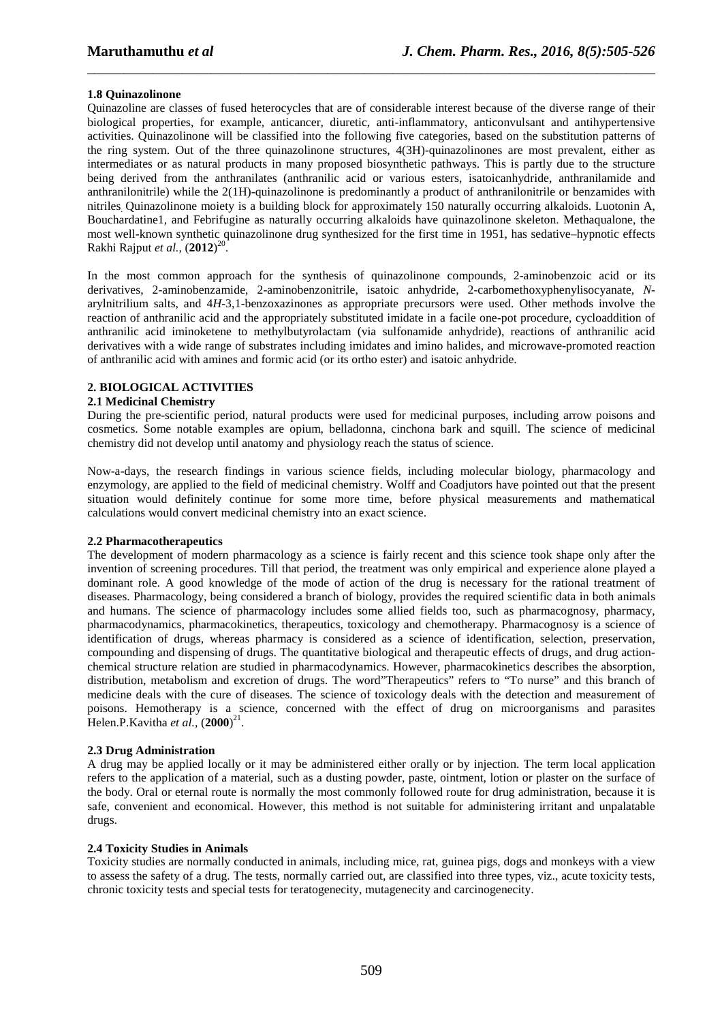### **1.8 Quinazolinone**

Quinazoline are classes of fused heterocycles that are of considerable interest because of the diverse range of their biological properties, for example, anticancer, diuretic, anti-inflammatory, anticonvulsant and antihypertensive activities. Quinazolinone will be classified into the following five categories, based on the substitution patterns of the ring system. Out of the three quinazolinone structures, 4(3H)-quinazolinones are most prevalent, either as intermediates or as natural products in many proposed biosynthetic pathways. This is partly due to the structure being derived from the anthranilates (anthranilic acid or various esters, isatoicanhydride, anthranilamide and anthranilonitrile) while the 2(1H)-quinazolinone is predominantly a product of anthranilonitrile or benzamides with nitriles. Quinazolinone moiety is a building block for approximately 150 naturally occurring alkaloids. Luotonin A, Bouchardatine1, and Febrifugine as naturally occurring alkaloids have quinazolinone skeleton. Methaqualone, the most well-known synthetic quinazolinone drug synthesized for the first time in 1951, has sedative–hypnotic effects Rakhi Rajput *et al.,* (**2012**) 20 .

\_\_\_\_\_\_\_\_\_\_\_\_\_\_\_\_\_\_\_\_\_\_\_\_\_\_\_\_\_\_\_\_\_\_\_\_\_\_\_\_\_\_\_\_\_\_\_\_\_\_\_\_\_\_\_\_\_\_\_\_\_\_\_\_\_\_\_\_\_\_\_\_\_\_\_\_\_\_

In the most common approach for the synthesis of quinazolinone compounds, 2-aminobenzoic acid or its derivatives, 2-aminobenzamide, 2-aminobenzonitrile, isatoic anhydride, 2-carbomethoxyphenylisocyanate, *N*arylnitrilium salts, and 4*H*-3,1-benzoxazinones as appropriate precursors were used. Other methods involve the reaction of anthranilic acid and the appropriately substituted imidate in a facile one-pot procedure, cycloaddition of anthranilic acid iminoketene to methylbutyrolactam (via sulfonamide anhydride), reactions of anthranilic acid derivatives with a wide range of substrates including imidates and imino halides, and microwave-promoted reaction of anthranilic acid with amines and formic acid (or its ortho ester) and isatoic anhydride.

### **2. BIOLOGICAL ACTIVITIES**

### **2.1 Medicinal Chemistry**

During the pre-scientific period, natural products were used for medicinal purposes, including arrow poisons and cosmetics. Some notable examples are opium, belladonna, cinchona bark and squill. The science of medicinal chemistry did not develop until anatomy and physiology reach the status of science.

Now-a-days, the research findings in various science fields, including molecular biology, pharmacology and enzymology, are applied to the field of medicinal chemistry. Wolff and Coadjutors have pointed out that the present situation would definitely continue for some more time, before physical measurements and mathematical calculations would convert medicinal chemistry into an exact science.

### **2.2 Pharmacotherapeutics**

The development of modern pharmacology as a science is fairly recent and this science took shape only after the invention of screening procedures. Till that period, the treatment was only empirical and experience alone played a dominant role. A good knowledge of the mode of action of the drug is necessary for the rational treatment of diseases. Pharmacology, being considered a branch of biology, provides the required scientific data in both animals and humans. The science of pharmacology includes some allied fields too, such as pharmacognosy, pharmacy, pharmacodynamics, pharmacokinetics, therapeutics, toxicology and chemotherapy. Pharmacognosy is a science of identification of drugs, whereas pharmacy is considered as a science of identification, selection, preservation, compounding and dispensing of drugs. The quantitative biological and therapeutic effects of drugs, and drug actionchemical structure relation are studied in pharmacodynamics. However, pharmacokinetics describes the absorption, distribution, metabolism and excretion of drugs. The word"Therapeutics" refers to "To nurse" and this branch of medicine deals with the cure of diseases. The science of toxicology deals with the detection and measurement of poisons. Hemotherapy is a science, concerned with the effect of drug on microorganisms and parasites Helen.P.Kavitha *et al.,* (**2000**) 21 .

### **2.3 Drug Administration**

A drug may be applied locally or it may be administered either orally or by injection. The term local application refers to the application of a material, such as a dusting powder, paste, ointment, lotion or plaster on the surface of the body. Oral or eternal route is normally the most commonly followed route for drug administration, because it is safe, convenient and economical. However, this method is not suitable for administering irritant and unpalatable drugs.

### **2.4 Toxicity Studies in Animals**

Toxicity studies are normally conducted in animals, including mice, rat, guinea pigs, dogs and monkeys with a view to assess the safety of a drug. The tests, normally carried out, are classified into three types, viz., acute toxicity tests, chronic toxicity tests and special tests for teratogenecity, mutagenecity and carcinogenecity.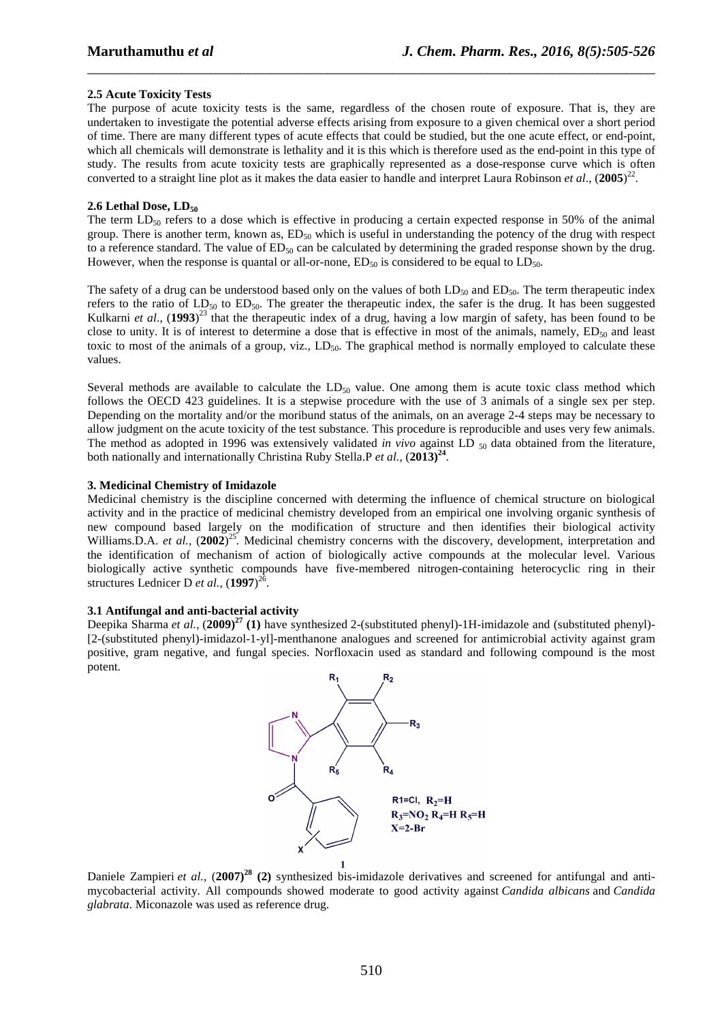### **2.5 Acute Toxicity Tests**

The purpose of acute toxicity tests is the same, regardless of the chosen route of exposure. That is, they are undertaken to investigate the potential adverse effects arising from exposure to a given chemical over a short period of time. There are many different types of acute effects that could be studied, but the one acute effect, or end-point, which all chemicals will demonstrate is lethality and it is this which is therefore used as the end-point in this type of study. The results from acute toxicity tests are graphically represented as a dose-response curve which is often converted to a straight line plot as it makes the data easier to handle and interpret Laura Robinson *et al*., (**2005**) 22 .

\_\_\_\_\_\_\_\_\_\_\_\_\_\_\_\_\_\_\_\_\_\_\_\_\_\_\_\_\_\_\_\_\_\_\_\_\_\_\_\_\_\_\_\_\_\_\_\_\_\_\_\_\_\_\_\_\_\_\_\_\_\_\_\_\_\_\_\_\_\_\_\_\_\_\_\_\_\_

### 2.6 Lethal Dose, LD<sub>50</sub>

The term  $LD_{50}$  refers to a dose which is effective in producing a certain expected response in 50% of the animal group. There is another term, known as,  $ED_{50}$  which is useful in understanding the potency of the drug with respect to a reference standard. The value of  $ED_{50}$  can be calculated by determining the graded response shown by the drug. However, when the response is quantal or all-or-none,  $ED_{50}$  is considered to be equal to  $LD_{50}$ .

The safety of a drug can be understood based only on the values of both  $LD_{50}$  and  $ED_{50}$ . The term therapeutic index refers to the ratio of  $LD_{50}$  to  $ED_{50}$ . The greater the therapeutic index, the safer is the drug. It has been suggested Kulkarni *et al*., (**1993**) <sup>23</sup> that the therapeutic index of a drug, having a low margin of safety, has been found to be close to unity. It is of interest to determine a dose that is effective in most of the animals, namely,  $ED_{50}$  and least toxic to most of the animals of a group, viz.,  $LD_{50}$ . The graphical method is normally employed to calculate these values.

Several methods are available to calculate the  $LD_{50}$  value. One among them is acute toxic class method which follows the OECD 423 guidelines. It is a stepwise procedure with the use of 3 animals of a single sex per step. Depending on the mortality and/or the moribund status of the animals, on an average 2-4 steps may be necessary to allow judgment on the acute toxicity of the test substance. This procedure is reproducible and uses very few animals. The method as adopted in 1996 was extensively validated *in vivo* against LD <sub>50</sub> data obtained from the literature, both nationally and internationally Christina Ruby Stella.P *et al.,* (**2013)<sup>24</sup>** .

### **3. Medicinal Chemistry of Imidazole**

Medicinal chemistry is the discipline concerned with determing the influence of chemical structure on biological activity and in the practice of medicinal chemistry developed from an empirical one involving organic synthesis of new compound based largely on the modification of structure and then identifies their biological activity Williams.D.A. et al., (2002)<sup>25</sup>. Medicinal chemistry concerns with the discovery, development, interpretation and the identification of mechanism of action of biologically active compounds at the molecular level. Various biologically active synthetic compounds have five-membered nitrogen-containing heterocyclic ring in their structures Lednicer D *et al.,* (**1997**) 26 .

#### **3.1 Antifungal and anti-bacterial activity**

Deepika Sharma *et al.,* (**2009)<sup>27</sup> (1)** have synthesized 2-(substituted phenyl)-1H-imidazole and (substituted phenyl)- [2-(substituted phenyl)-imidazol-1-yl]-menthanone analogues and screened for antimicrobial activity against gram positive, gram negative, and fungal species. Norfloxacin used as standard and following compound is the most potent.



Daniele Zampieri *et al.,* (**2007)<sup>28</sup> (2)** synthesized bis-imidazole derivatives and screened for antifungal and antimycobacterial activity. All compounds showed moderate to good activity against *Candida albicans* and *Candida glabrata*. Miconazole was used as reference drug.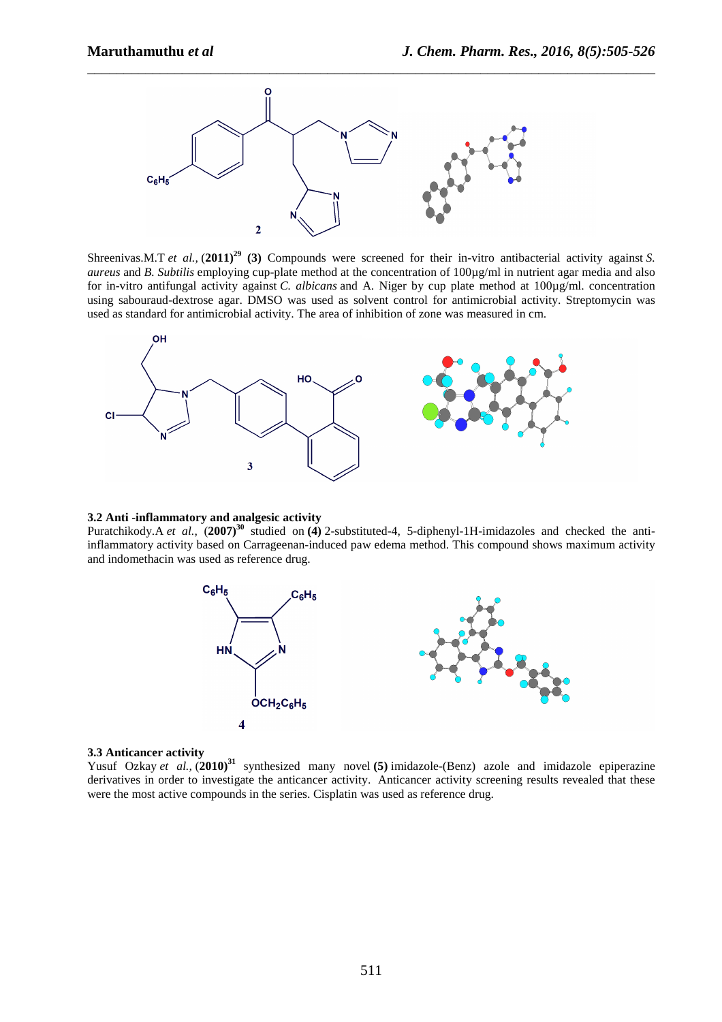

Shreenivas.M.T *et al.,* (**2011)<sup>29</sup> (3)** Compounds were screened for their in-vitro antibacterial activity against *S. aureus* and *B. Subtilis* employing cup-plate method at the concentration of 100µg/ml in nutrient agar media and also for in-vitro antifungal activity against *C. albicans* and A. Niger by cup plate method at 100µg/ml. concentration using sabouraud-dextrose agar. DMSO was used as solvent control for antimicrobial activity. Streptomycin was used as standard for antimicrobial activity. The area of inhibition of zone was measured in cm.



### **3.2 Anti -inflammatory and analgesic activity**

Puratchikody.A *et al.,* (**2007)<sup>30</sup>** studied on **(4)** 2-substituted-4, 5-diphenyl-1H-imidazoles and checked the antiinflammatory activity based on Carrageenan-induced paw edema method. This compound shows maximum activity and indomethacin was used as reference drug.



#### **3.3 Anticancer activity**

Yusuf Ozkay et al.,  $(2010)^{31}$  synthesized many novel (5) imidazole-(Benz) azole and imidazole epiperazine derivatives in order to investigate the anticancer activity. Anticancer activity screening results revealed that these were the most active compounds in the series. Cisplatin was used as reference drug.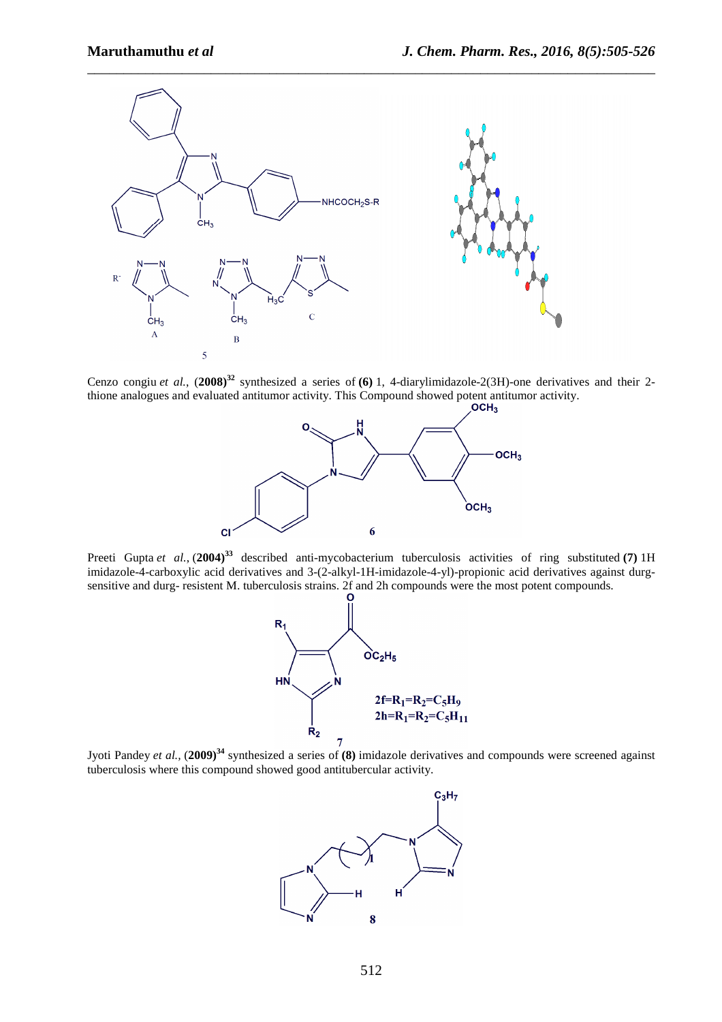

Cenzo congiu *et al.*, (**2008)<sup>32</sup>** synthesized a series of **(6)** 1, 4-diarylimidazole-2(3H)-one derivatives and their 2 thione analogues and evaluated antitumor activity. This Compound showed potent antitumor activity.<br> **OCH3** 



Preeti Gupta et al., (2004)<sup>33</sup> described anti-mycobacterium tuberculosis activities of ring substituted (7) 1H imidazole-4-carboxylic acid derivatives and 3-(2-alkyl-1H-imidazole-4-yl)-propionic acid derivatives against durgsensitive and durg- resistent M. tuberculosis strains. 2f and 2h compounds were the most potent compounds.



Jyoti Pandey *et al.,* (**2009)<sup>34</sup>** synthesized a series of **(8)** imidazole derivatives and compounds were screened against tuberculosis where this compound showed good antitubercular activity.

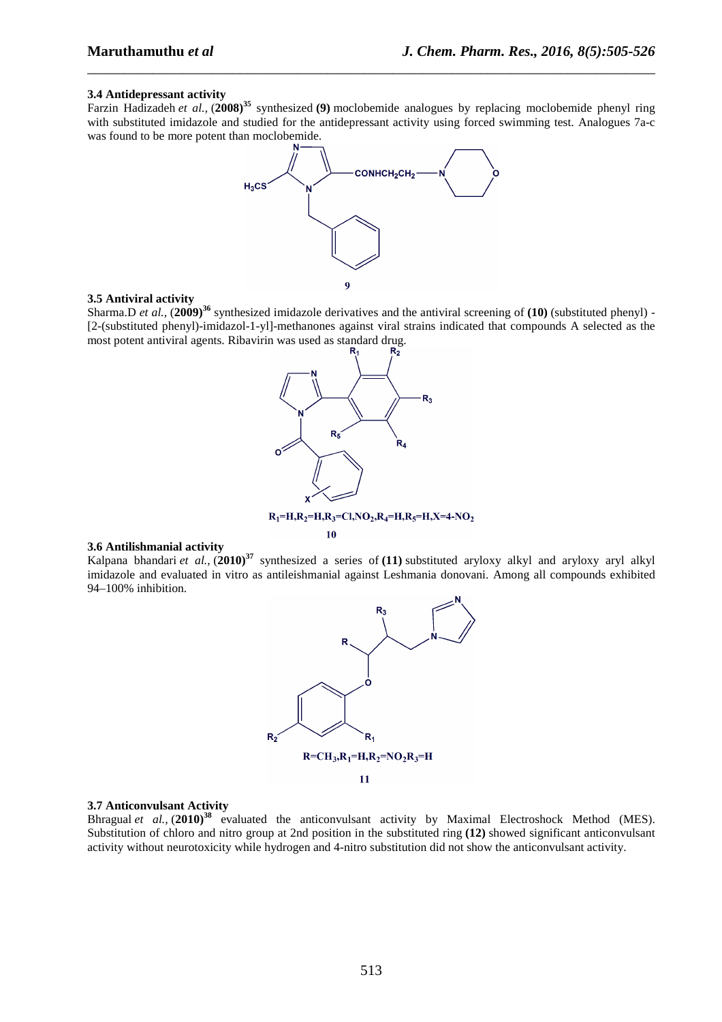#### **3.4 Antidepressant activity**

Farzin Hadizadeh *et al.,* (**2008)<sup>35</sup>** synthesized **(9)** moclobemide analogues by replacing moclobemide phenyl ring with substituted imidazole and studied for the antidepressant activity using forced swimming test. Analogues 7a-c was found to be more potent than moclobemide.

\_\_\_\_\_\_\_\_\_\_\_\_\_\_\_\_\_\_\_\_\_\_\_\_\_\_\_\_\_\_\_\_\_\_\_\_\_\_\_\_\_\_\_\_\_\_\_\_\_\_\_\_\_\_\_\_\_\_\_\_\_\_\_\_\_\_\_\_\_\_\_\_\_\_\_\_\_\_



#### **3.5 Antiviral activity**

Sharma.D *et al.,* (**2009)<sup>36</sup>** synthesized imidazole derivatives and the antiviral screening of **(10)** (substituted phenyl) - [2-(substituted phenyl)-imidazol-1-yl]-methanones against viral strains indicated that compounds A selected as the most potent antiviral agents. Ribavirin was used as standard drug.



#### **3.6 Antilishmanial activity**

Kalpana bhandari *et al.,* (**2010)<sup>37</sup>** synthesized a series of **(11)** substituted aryloxy alkyl and aryloxy aryl alkyl imidazole and evaluated in vitro as antileishmanial against Leshmania donovani. Among all compounds exhibited 94–100% inhibition.



### **3.7 Anticonvulsant Activity**

Bhragual et al.,  $(2010)^{38}$  evaluated the anticonvulsant activity by Maximal Electroshock Method (MES). Substitution of chloro and nitro group at 2nd position in the substituted ring **(12)** showed significant anticonvulsant activity without neurotoxicity while hydrogen and 4-nitro substitution did not show the anticonvulsant activity.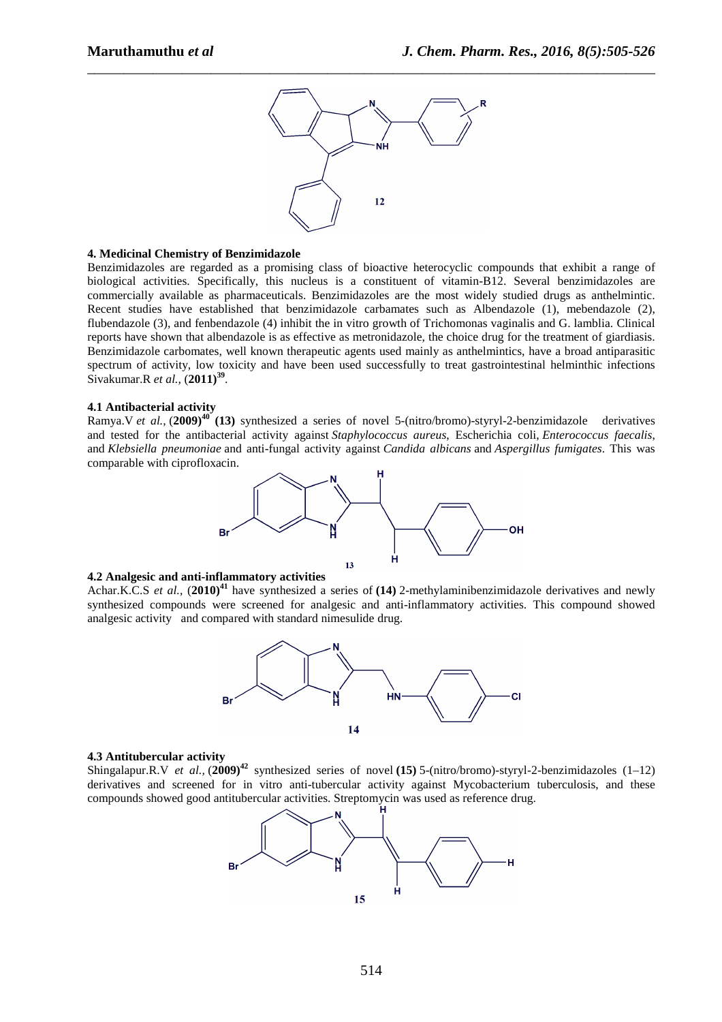

## **4. Medicinal Chemistry of Benzimidazole**

Benzimidazoles are regarded as a promising class of bioactive heterocyclic compounds that exhibit a range of biological activities. Specifically, this nucleus is a constituent of vitamin-B12. Several benzimidazoles are commercially available as pharmaceuticals. Benzimidazoles are the most widely studied drugs as anthelmintic. Recent studies have established that benzimidazole carbamates such as Albendazole (1), mebendazole (2), flubendazole (3), and fenbendazole (4) inhibit the in vitro growth of Trichomonas vaginalis and G. lamblia. Clinical reports have shown that albendazole is as effective as metronidazole, the choice drug for the treatment of giardiasis. Benzimidazole carbomates, well known therapeutic agents used mainly as anthelmintics, have a broad antiparasitic spectrum of activity, low toxicity and have been used successfully to treat gastrointestinal helminthic infections Sivakumar.R *et al.,* (**2011)<sup>39</sup>** .

#### **4.1 Antibacterial activity**

Ramya.V *et al.,* (**2009)<sup>40</sup> (13)** synthesized a series of novel 5-(nitro/bromo)-styryl-2-benzimidazole derivatives and tested for the antibacterial activity against *Staphylococcus aureus*, Escherichia coli, *Enterococcus faecalis*, and *Klebsiella pneumoniae* and anti-fungal activity against *Candida albicans* and *Aspergillus fumigates*. This was comparable with ciprofloxacin.



### **4.2 Analgesic and anti-inflammatory activities**

Achar.K.C.S *et al.,* (**2010)<sup>41</sup>** have synthesized a series of **(14)** 2-methylaminibenzimidazole derivatives and newly synthesized compounds were screened for analgesic and anti-inflammatory activities. This compound showed analgesic activity and compared with standard nimesulide drug.



#### **4.3 Antitubercular activity**

Shingalapur.R.V *et al.,* (**2009)<sup>42</sup>** synthesized series of novel **(15)** 5-(nitro/bromo)-styryl-2-benzimidazoles (1–12) derivatives and screened for in vitro anti-tubercular activity against Mycobacterium tuberculosis, and these compounds showed good antitubercular activities. Streptomycin was used as reference drug.

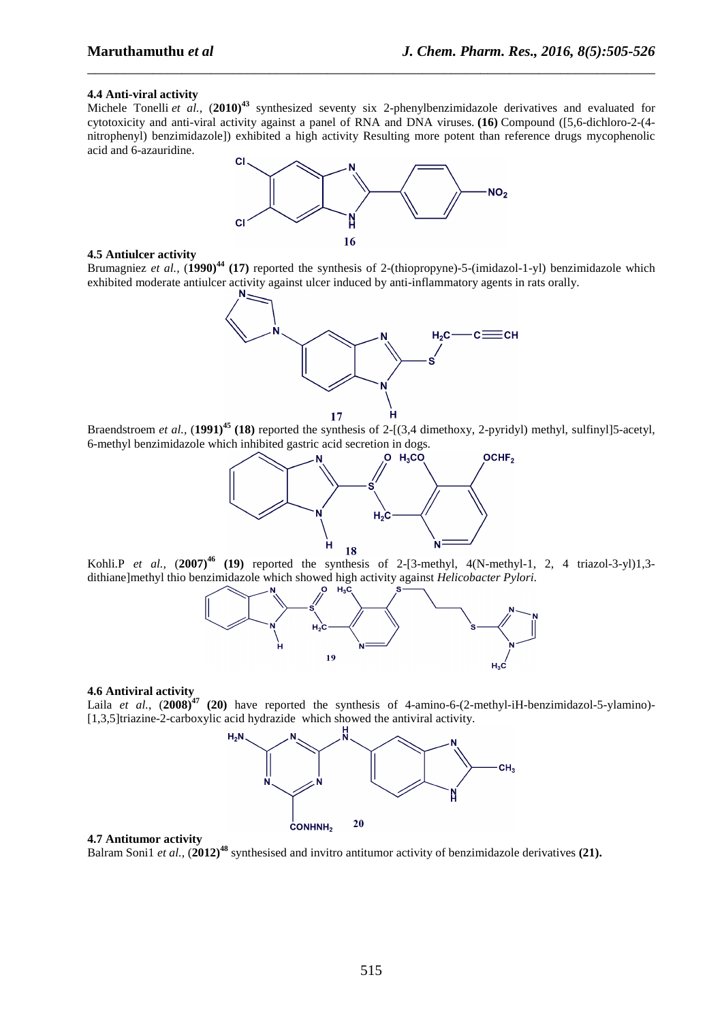#### **4.4 Anti-viral activity**

Michele Tonelli *et al.,* (**2010)<sup>43</sup>** synthesized seventy six 2-phenylbenzimidazole derivatives and evaluated for cytotoxicity and anti-viral activity against a panel of RNA and DNA viruses. **(16)** Compound ([5,6-dichloro-2-(4 nitrophenyl) benzimidazole]) exhibited a high activity Resulting more potent than reference drugs mycophenolic acid and 6-azauridine.

\_\_\_\_\_\_\_\_\_\_\_\_\_\_\_\_\_\_\_\_\_\_\_\_\_\_\_\_\_\_\_\_\_\_\_\_\_\_\_\_\_\_\_\_\_\_\_\_\_\_\_\_\_\_\_\_\_\_\_\_\_\_\_\_\_\_\_\_\_\_\_\_\_\_\_\_\_\_



### **4.5 Antiulcer activity**

Brumagniez *et al.,* (**1990)<sup>44</sup> (17)** reported the synthesis of 2-(thiopropyne)-5-(imidazol-1-yl) benzimidazole which exhibited moderate antiulcer activity against ulcer induced by anti-inflammatory agents in rats orally.



Braendstroem *et al.,* (**1991)<sup>45</sup> (18)** reported the synthesis of 2-[(3,4 dimethoxy, 2-pyridyl) methyl, sulfinyl]5-acetyl, 6-methyl benzimidazole which inhibited gastric acid secretion in dogs.



Kohli.P *et al.,* (**2007)<sup>46</sup> (19)** reported the synthesis of 2-[3-methyl, 4(N-methyl-1, 2, 4 triazol-3-yl)1,3 dithiane]methyl thio benzimidazole which showed high activity against *Helicobacter Pylori*.



#### **4.6 Antiviral activity**

Laila *et al.*, (**2008)<sup>47</sup> (20)** have reported the synthesis of 4-amino-6-(2-methyl-iH-benzimidazol-5-ylamino)- [1,3,5]triazine-2-carboxylic acid hydrazide which showed the antiviral activity.



#### **4.7 Antitumor activity**

Balram Soni1 *et al.,* (**2012)<sup>48</sup>** synthesised and invitro antitumor activity of benzimidazole derivatives **(21).**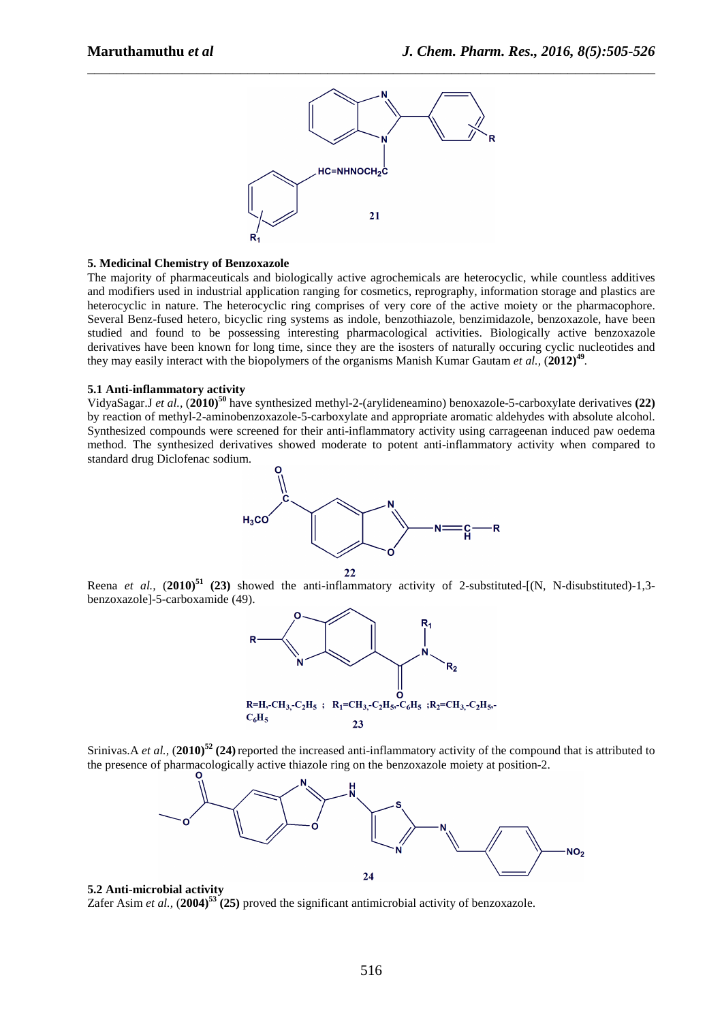

### **5. Medicinal Chemistry of Benzoxazole**

The majority of pharmaceuticals and biologically active agrochemicals are heterocyclic, while countless additives and modifiers used in industrial application ranging for cosmetics, reprography, information storage and plastics are heterocyclic in nature. The heterocyclic ring comprises of very core of the active moiety or the pharmacophore. Several Benz-fused hetero, bicyclic ring systems as indole, benzothiazole, benzimidazole, benzoxazole, have been studied and found to be possessing interesting pharmacological activities. Biologically active benzoxazole derivatives have been known for long time, since they are the isosters of naturally occuring cyclic nucleotides and they may easily interact with the biopolymers of the organisms Manish Kumar Gautam *et al.,* (**2012)<sup>49</sup>** *.*

### **5.1 Anti-inflammatory activity**

VidyaSagar.J *et al.,* (**2010)<sup>50</sup>** have synthesized methyl-2-(arylideneamino) benoxazole-5-carboxylate derivatives **(22)** by reaction of methyl-2-aminobenzoxazole-5-carboxylate and appropriate aromatic aldehydes with absolute alcohol. Synthesized compounds were screened for their anti-inflammatory activity using carrageenan induced paw oedema method. The synthesized derivatives showed moderate to potent anti-inflammatory activity when compared to standard drug Diclofenac sodium.







Srinivas.A *et al.,* (**2010)<sup>52</sup> (24)**reported the increased anti-inflammatory activity of the compound that is attributed to the presence of pharmacologically active thiazole ring on the benzoxazole moiety at position-2.



# **5.2 Anti-microbial activity**

Zafer Asim *et al.,* (**2004)<sup>53</sup> (25)** proved the significant antimicrobial activity of benzoxazole.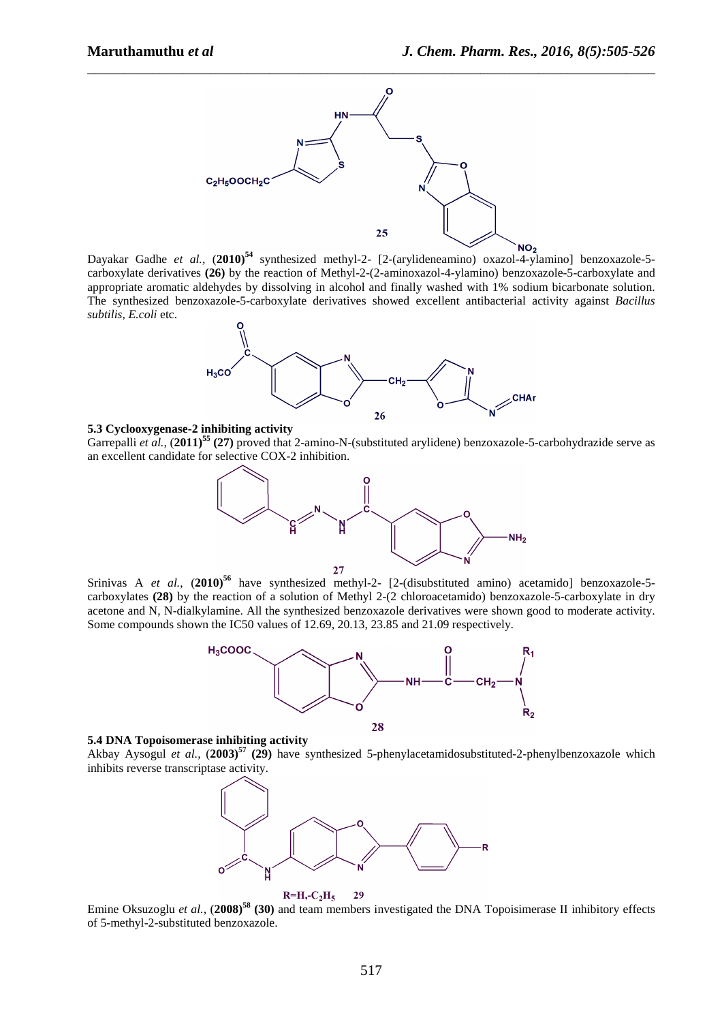

Dayakar Gadhe *et al.,* (**2010)<sup>54</sup>** synthesized methyl-2- [2-(arylideneamino) oxazol-4-ylamino] benzoxazole-5 carboxylate derivatives **(26)** by the reaction of Methyl-2-(2-aminoxazol-4-ylamino) benzoxazole-5-carboxylate and appropriate aromatic aldehydes by dissolving in alcohol and finally washed with 1% sodium bicarbonate solution. The synthesized benzoxazole-5-carboxylate derivatives showed excellent antibacterial activity against *Bacillus subtilis, E.coli* etc.



#### **5.3 Cyclooxygenase-2 inhibiting activity**

Garrepalli *et al.*, (**2011)<sup>55</sup> (27)** proved that 2-amino-N-(substituted arylidene) benzoxazole-5-carbohydrazide serve as an excellent candidate for selective COX-2 inhibition.



Srinivas A et al., (2010)<sup>56</sup> have synthesized methyl-2- [2-(disubstituted amino) acetamido] benzoxazole-5carboxylates **(28)** by the reaction of a solution of Methyl 2-(2 chloroacetamido) benzoxazole-5-carboxylate in dry acetone and N, N-dialkylamine. All the synthesized benzoxazole derivatives were shown good to moderate activity. Some compounds shown the IC50 values of 12.69, 20.13, 23.85 and 21.09 respectively.



### **5.4 DNA Topoisomerase inhibiting activity**

Akbay Aysogul *et al.,* (**2003)<sup>57</sup> (29)** have synthesized 5-phenylacetamidosubstituted-2-phenylbenzoxazole which inhibits reverse transcriptase activity.





 Emine Oksuzoglu *et al.,* (**2008)<sup>58</sup> (30)** and team members investigated the DNA Topoisimerase II inhibitory effects of 5-methyl-2-substituted benzoxazole.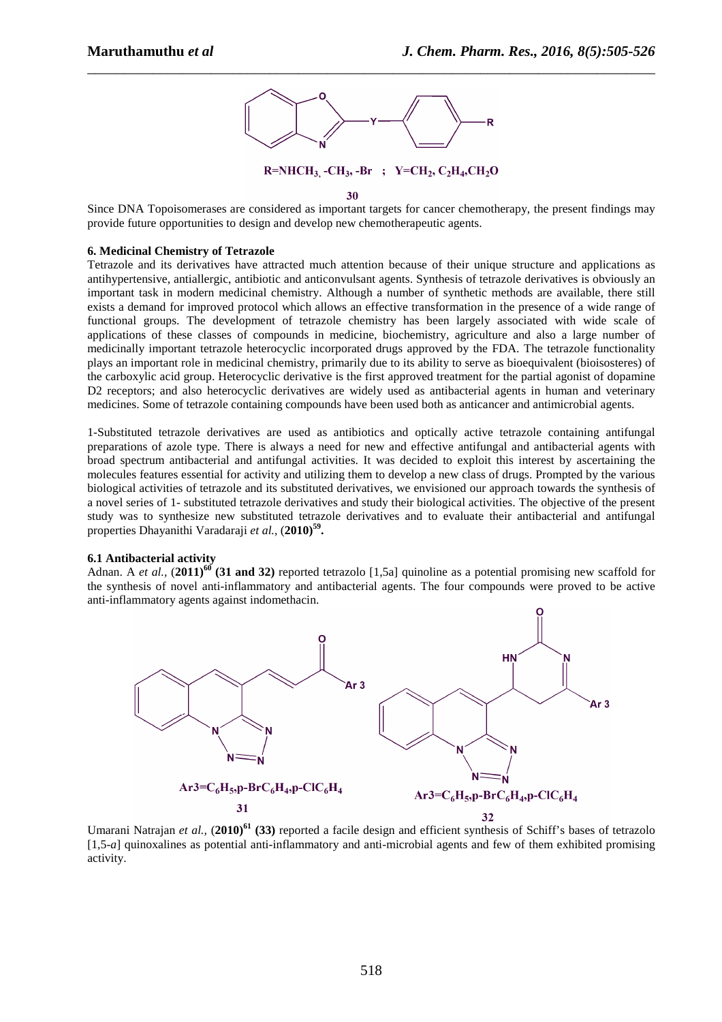

#### 30

Since DNA Topoisomerases are considered as important targets for cancer chemotherapy, the present findings may provide future opportunities to design and develop new chemotherapeutic agents.

### **6. Medicinal Chemistry of Tetrazole**

Tetrazole and its derivatives have attracted much attention because of their unique structure and applications as antihypertensive, antiallergic, antibiotic and anticonvulsant agents. Synthesis of tetrazole derivatives is obviously an important task in modern medicinal chemistry. Although a number of synthetic methods are available, there still exists a demand for improved protocol which allows an effective transformation in the presence of a wide range of functional groups. The development of tetrazole chemistry has been largely associated with wide scale of applications of these classes of compounds in medicine, biochemistry, agriculture and also a large number of medicinally important tetrazole heterocyclic incorporated drugs approved by the FDA. The tetrazole functionality plays an important role in medicinal chemistry, primarily due to its ability to serve as bioequivalent (bioisosteres) of the carboxylic acid group. Heterocyclic derivative is the first approved treatment for the partial agonist of dopamine D2 receptors; and also heterocyclic derivatives are widely used as antibacterial agents in human and veterinary medicines. Some of tetrazole containing compounds have been used both as anticancer and antimicrobial agents.

1-Substituted tetrazole derivatives are used as antibiotics and optically active tetrazole containing antifungal preparations of azole type. There is always a need for new and effective antifungal and antibacterial agents with broad spectrum antibacterial and antifungal activities. It was decided to exploit this interest by ascertaining the molecules features essential for activity and utilizing them to develop a new class of drugs. Prompted by the various biological activities of tetrazole and its substituted derivatives, we envisioned our approach towards the synthesis of a novel series of 1- substituted tetrazole derivatives and study their biological activities. The objective of the present study was to synthesize new substituted tetrazole derivatives and to evaluate their antibacterial and antifungal properties Dhayanithi Varadaraji *et al.,* (**2010)<sup>59</sup> .** 

### **6.1 Antibacterial activity**

Adnan. A *et al.,* (**2011)<sup>60</sup> (31 and 32)** reported tetrazolo [1,5a] quinoline as a potential promising new scaffold for the synthesis of novel anti-inflammatory and antibacterial agents. The four compounds were proved to be active anti-inflammatory agents against indomethacin.



Umarani Natrajan *et al.,* (**2010)<sup>61</sup> (33)** reported a facile design and efficient synthesis of Schiff's bases of tetrazolo [1,5-*a*] quinoxalines as potential anti-inflammatory and anti-microbial agents and few of them exhibited promising activity.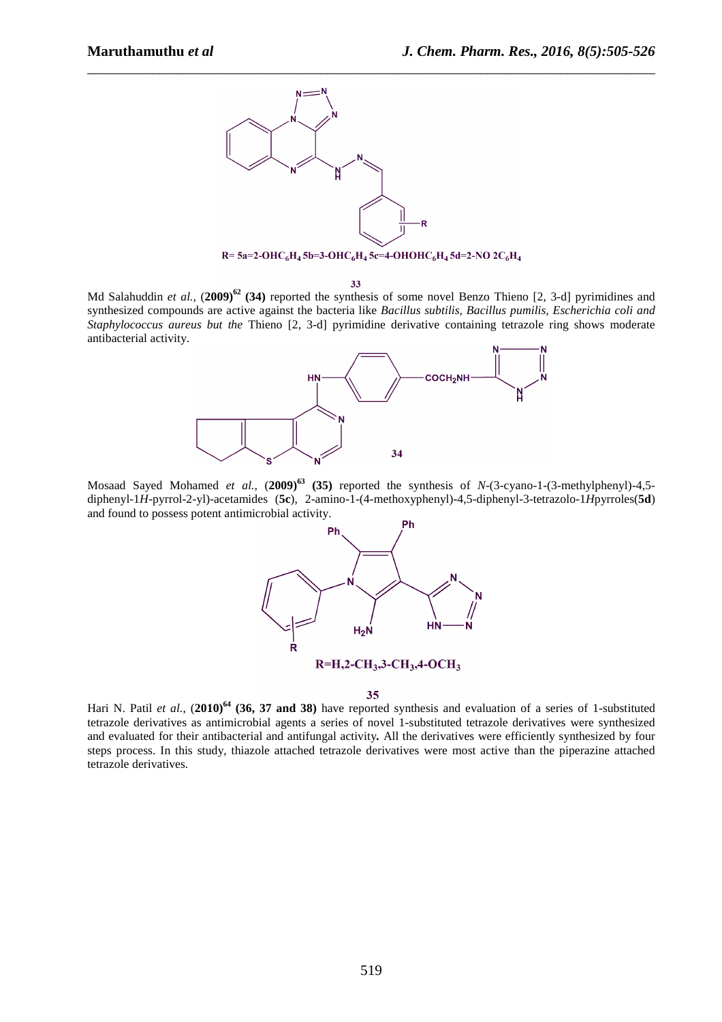

R= 5a=2-OHC<sub>6</sub>H<sub>4</sub> 5b=3-OHC<sub>6</sub>H<sub>4</sub> 5c=4-OHOHC<sub>6</sub>H<sub>4</sub> 5d=2-NO 2C<sub>6</sub>H<sub>4</sub>

33

Md Salahuddin *et al.,* (**2009)<sup>62</sup> (34)** reported the synthesis of some novel Benzo Thieno [2, 3-d] pyrimidines and synthesized compounds are active against the bacteria like *Bacillus subtilis, Bacillus pumilis, Escherichia coli and Staphylococcus aureus but the* Thieno [2, 3-d] pyrimidine derivative containing tetrazole ring shows moderate antibacterial activity.



Mosaad Sayed Mohamed *et al.,* (**2009)<sup>63</sup> (35)** reported the synthesis of *N*-(3-cyano-1-(3-methylphenyl)-4,5 diphenyl-1*H*-pyrrol-2-yl)-acetamides (**5c**), 2-amino-1-(4-methoxyphenyl)-4,5-diphenyl-3-tetrazolo-1*H*pyrroles(**5d**) and found to possess potent antimicrobial activity.



35

Hari N. Patil *et al.,* (**2010)<sup>64</sup> (36, 37 and 38)** have reported synthesis and evaluation of a series of 1-substituted tetrazole derivatives as antimicrobial agents a series of novel 1-substituted tetrazole derivatives were synthesized and evaluated for their antibacterial and antifungal activity*.* All the derivatives were efficiently synthesized by four steps process. In this study, thiazole attached tetrazole derivatives were most active than the piperazine attached tetrazole derivatives.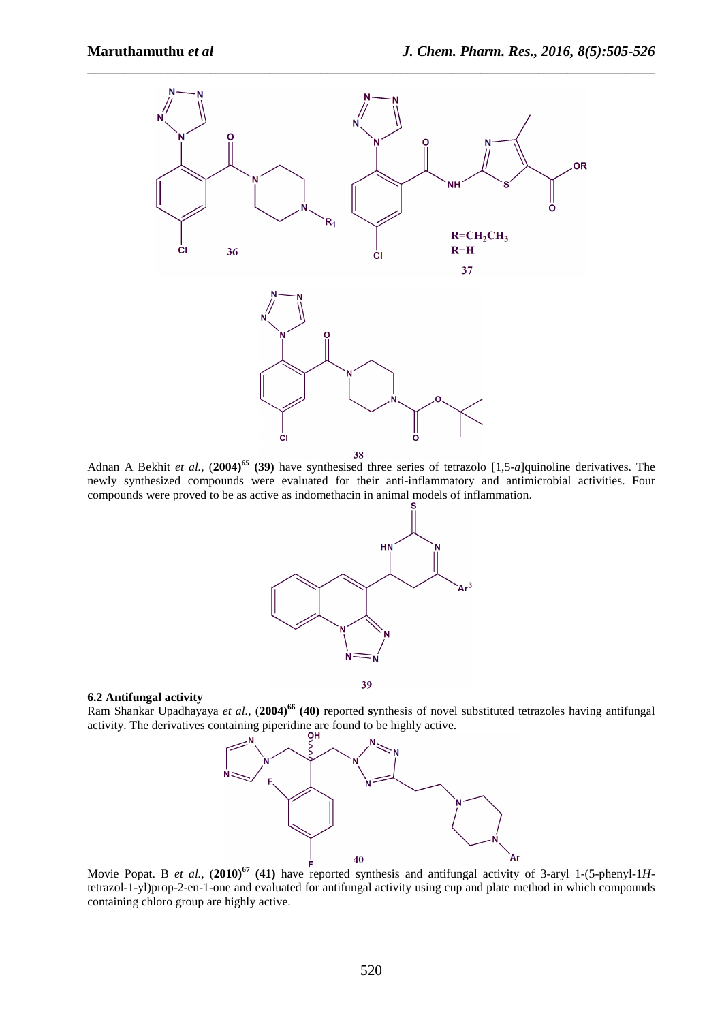

Adnan A Bekhit *et al.,* (**2004)<sup>65</sup> (39)** have synthesised three series of tetrazolo [1,5-*a*]quinoline derivatives. The newly synthesized compounds were evaluated for their anti-inflammatory and antimicrobial activities. Four compounds were proved to be as active as indomethacin in animal models of inflammation.



### **6.2 Antifungal activity**

Ram Shankar Upadhayaya *et al.,* (**2004)<sup>66</sup> (40)** reported **s**ynthesis of novel substituted tetrazoles having antifungal activity. The derivatives containing piperidine are found to be highly active.



Movie Popat. B *et al.*,  $(2010)^{67}$  (41) have reported synthesis and antifungal activity of 3-aryl 1-(5-phenyl-1*H*tetrazol-1-yl)prop-2-en-1-one and evaluated for antifungal activity using cup and plate method in which compounds containing chloro group are highly active.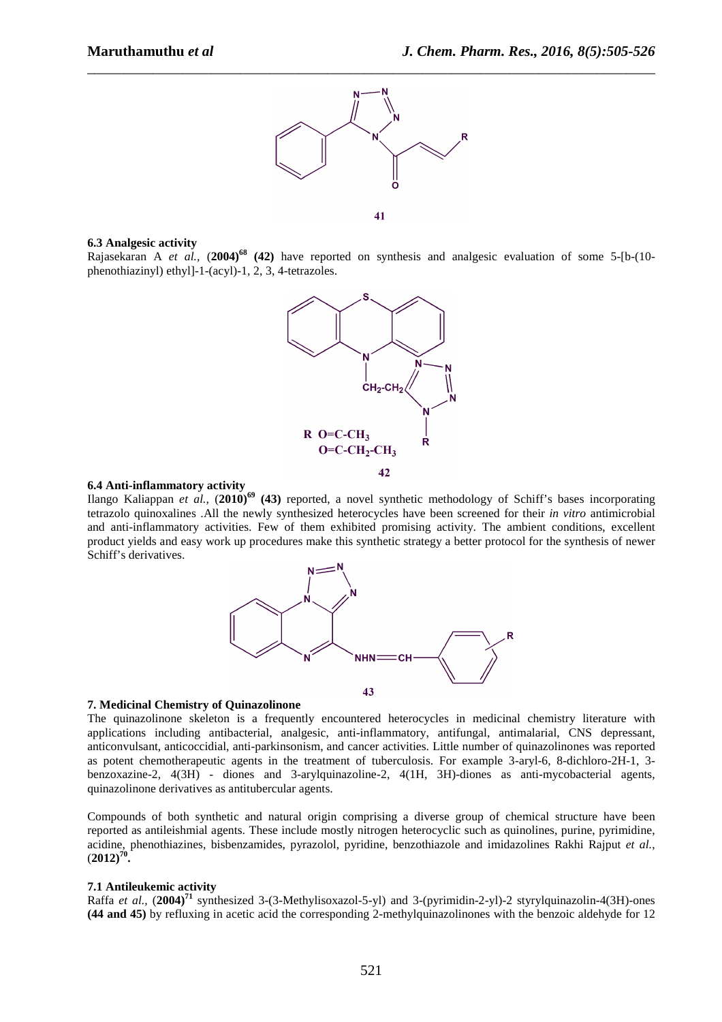

41

### **6.3 Analgesic activity**

Rajasekaran A *et al.,* (**2004)<sup>68</sup> (42)** have reported on synthesis and analgesic evaluation of some 5-[b-(10 phenothiazinyl) ethyl]-1-(acyl)-1, 2, 3, 4-tetrazoles.



## **6.4 Anti-inflammatory activity**

Ilango Kaliappan *et al.,* (**2010)<sup>69</sup> (43)** reported, a novel synthetic methodology of Schiff's bases incorporating tetrazolo quinoxalines .All the newly synthesized heterocycles have been screened for their *in vitro* antimicrobial and anti-inflammatory activities. Few of them exhibited promising activity. The ambient conditions, excellent product yields and easy work up procedures make this synthetic strategy a better protocol for the synthesis of newer Schiff's derivatives.



#### **7. Medicinal Chemistry of Quinazolinone**

The quinazolinone skeleton is a frequently encountered heterocycles in medicinal chemistry literature with applications including antibacterial, analgesic, anti-inflammatory, antifungal, antimalarial, CNS depressant, anticonvulsant, anticoccidial, anti-parkinsonism, and cancer activities. Little number of quinazolinones was reported as potent chemotherapeutic agents in the treatment of tuberculosis. For example 3-aryl-6, 8-dichloro-2H-1, 3 benzoxazine-2, 4(3H) - diones and 3-arylquinazoline-2, 4(1H, 3H)-diones as anti-mycobacterial agents, quinazolinone derivatives as antitubercular agents.

Compounds of both synthetic and natural origin comprising a diverse group of chemical structure have been reported as antileishmial agents. These include mostly nitrogen heterocyclic such as quinolines, purine, pyrimidine, acidine, phenothiazines, bisbenzamides, pyrazolol, pyridine, benzothiazole and imidazolines Rakhi Rajput *et al.*,  $(2012)^{70}$ .

### **7.1 Antileukemic activity**

Raffa *et al.,* (**2004)<sup>71</sup>** synthesized 3-(3-Methylisoxazol-5-yl) and 3-(pyrimidin-2-yl)-2 styrylquinazolin-4(3H)-ones **(44 and 45)** by refluxing in acetic acid the corresponding 2-methylquinazolinones with the benzoic aldehyde for 12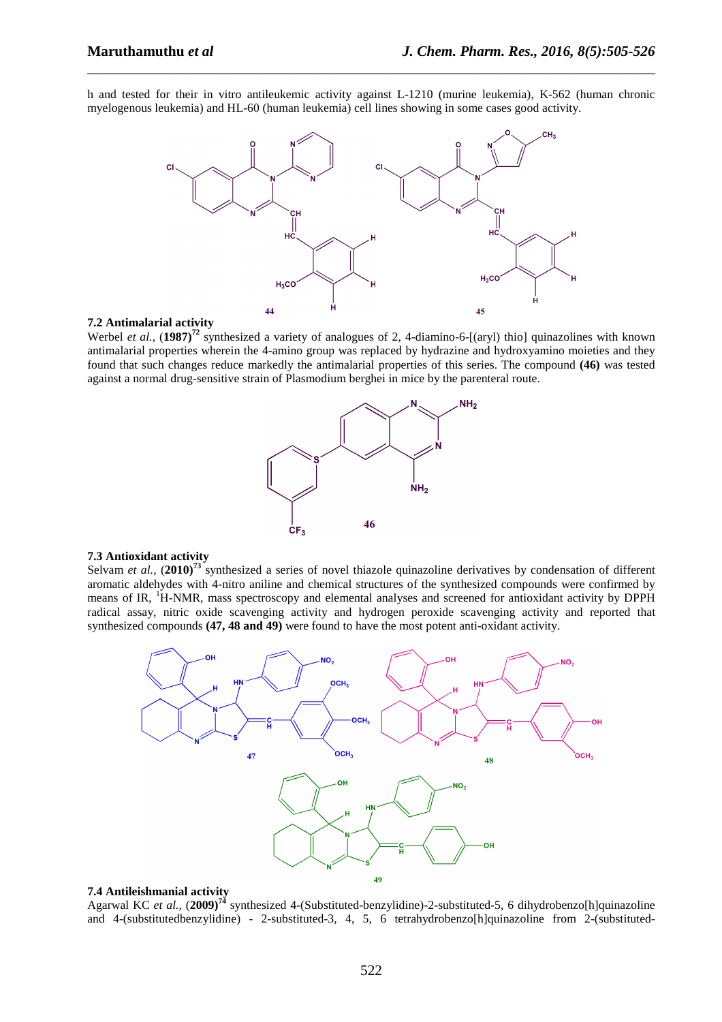h and tested for their in vitro antileukemic activity against L-1210 (murine leukemia), K-562 (human chronic myelogenous leukemia) and HL-60 (human leukemia) cell lines showing in some cases good activity.

\_\_\_\_\_\_\_\_\_\_\_\_\_\_\_\_\_\_\_\_\_\_\_\_\_\_\_\_\_\_\_\_\_\_\_\_\_\_\_\_\_\_\_\_\_\_\_\_\_\_\_\_\_\_\_\_\_\_\_\_\_\_\_\_\_\_\_\_\_\_\_\_\_\_\_\_\_\_



### **7.2 Antimalarial activity**

Werbel *et al.*, (1987)<sup>72</sup> synthesized a variety of analogues of 2, 4-diamino-6-[(aryl) thio] quinazolines with known antimalarial properties wherein the 4-amino group was replaced by hydrazine and hydroxyamino moieties and they found that such changes reduce markedly the antimalarial properties of this series. The compound **(46)** was tested against a normal drug-sensitive strain of Plasmodium berghei in mice by the parenteral route.



#### **7.3 Antioxidant activity**

Selvam *et al.,* (**2010)<sup>73</sup>** synthesized a series of novel thiazole quinazoline derivatives by condensation of different aromatic aldehydes with 4-nitro aniline and chemical structures of the synthesized compounds were confirmed by means of IR, <sup>1</sup>H-NMR, mass spectroscopy and elemental analyses and screened for antioxidant activity by DPPH radical assay, nitric oxide scavenging activity and hydrogen peroxide scavenging activity and reported that synthesized compounds **(47, 48 and 49)** were found to have the most potent anti-oxidant activity.



#### **7.4 Antileishmanial activity**

Agarwal KC *et al.,* (**2009)<sup>74</sup>** synthesized 4-(Substituted-benzylidine)-2-substituted-5, 6 dihydrobenzo[h]quinazoline and 4-(substitutedbenzylidine) - 2-substituted-3, 4, 5, 6 tetrahydrobenzo[h]quinazoline from 2-(substituted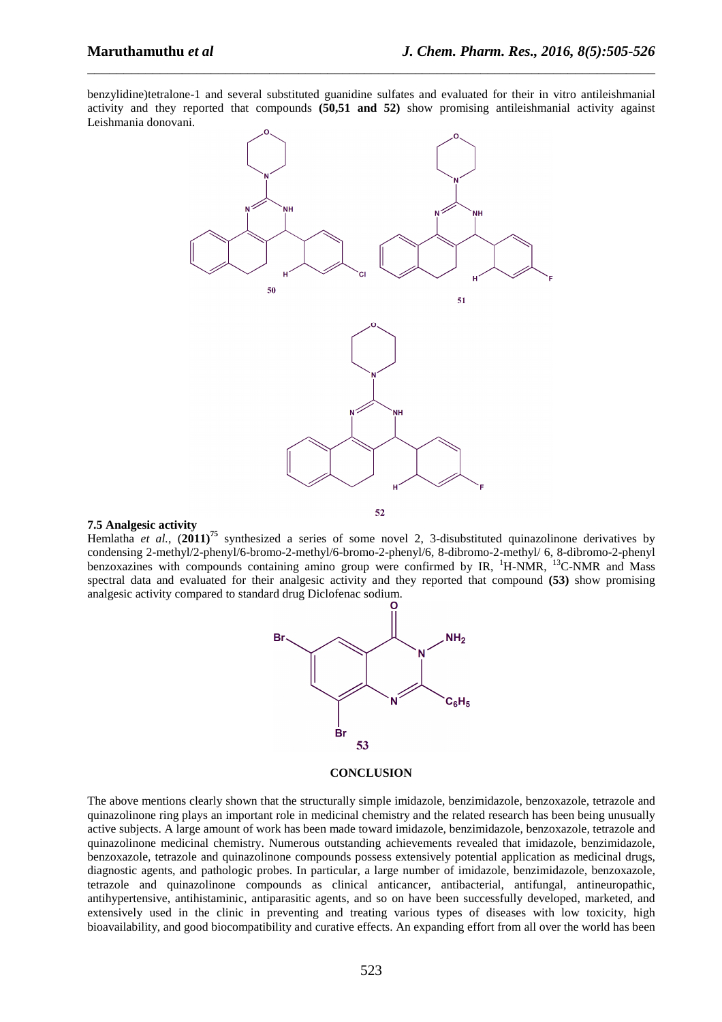benzylidine)tetralone-1 and several substituted guanidine sulfates and evaluated for their in vitro antileishmanial activity and they reported that compounds **(50,51 and 52)** show promising antileishmanial activity against Leishmania donovani.

\_\_\_\_\_\_\_\_\_\_\_\_\_\_\_\_\_\_\_\_\_\_\_\_\_\_\_\_\_\_\_\_\_\_\_\_\_\_\_\_\_\_\_\_\_\_\_\_\_\_\_\_\_\_\_\_\_\_\_\_\_\_\_\_\_\_\_\_\_\_\_\_\_\_\_\_\_\_



### **7.5 Analgesic activity**

Hemlatha *et al.*, (**2011)<sup>75</sup>** synthesized a series of some novel 2, 3-disubstituted quinazolinone derivatives by condensing 2-methyl/2-phenyl/6-bromo-2-methyl/6-bromo-2-phenyl/6, 8-dibromo-2-methyl/ 6, 8-dibromo-2-phenyl benzoxazines with compounds containing amino group were confirmed by IR, <sup>1</sup>H-NMR, <sup>13</sup>C-NMR and Mass spectral data and evaluated for their analgesic activity and they reported that compound **(53)** show promising analgesic activity compared to standard drug Diclofenac sodium.



#### **CONCLUSION**

The above mentions clearly shown that the structurally simple imidazole, benzimidazole, benzoxazole, tetrazole and quinazolinone ring plays an important role in medicinal chemistry and the related research has been being unusually active subjects. A large amount of work has been made toward imidazole, benzimidazole, benzoxazole, tetrazole and quinazolinone medicinal chemistry. Numerous outstanding achievements revealed that imidazole, benzimidazole, benzoxazole, tetrazole and quinazolinone compounds possess extensively potential application as medicinal drugs, diagnostic agents, and pathologic probes. In particular, a large number of imidazole, benzimidazole, benzoxazole, tetrazole and quinazolinone compounds as clinical anticancer, antibacterial, antifungal, antineuropathic, antihypertensive, antihistaminic, antiparasitic agents, and so on have been successfully developed, marketed, and extensively used in the clinic in preventing and treating various types of diseases with low toxicity, high bioavailability, and good biocompatibility and curative effects. An expanding effort from all over the world has been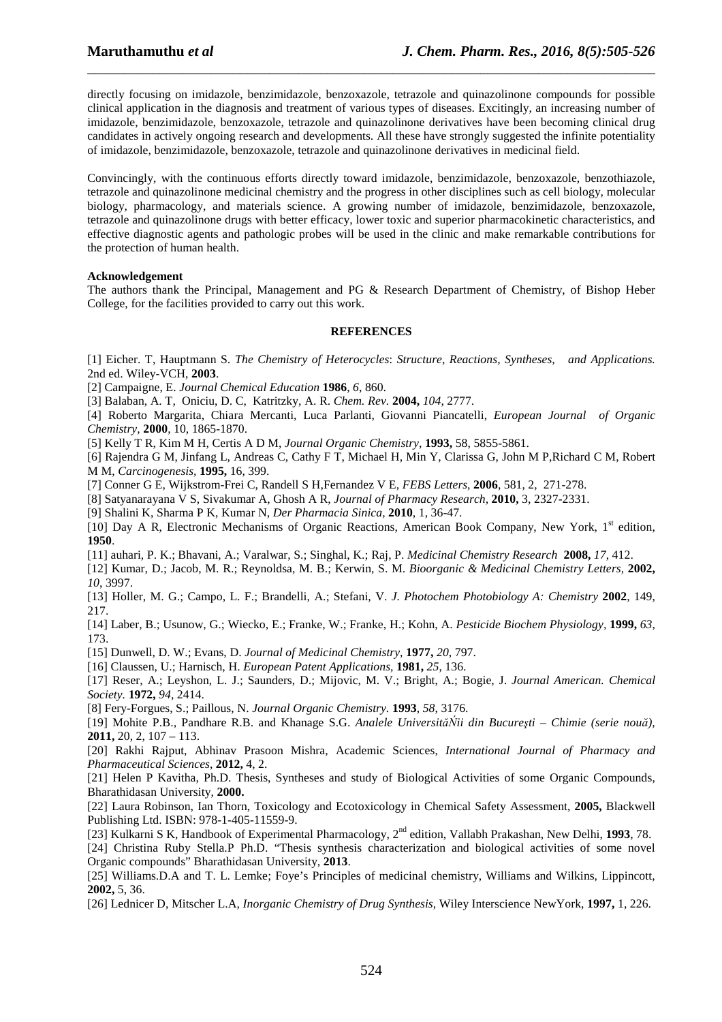directly focusing on imidazole, benzimidazole, benzoxazole, tetrazole and quinazolinone compounds for possible clinical application in the diagnosis and treatment of various types of diseases. Excitingly, an increasing number of imidazole, benzimidazole, benzoxazole, tetrazole and quinazolinone derivatives have been becoming clinical drug candidates in actively ongoing research and developments. All these have strongly suggested the infinite potentiality of imidazole, benzimidazole, benzoxazole, tetrazole and quinazolinone derivatives in medicinal field.

\_\_\_\_\_\_\_\_\_\_\_\_\_\_\_\_\_\_\_\_\_\_\_\_\_\_\_\_\_\_\_\_\_\_\_\_\_\_\_\_\_\_\_\_\_\_\_\_\_\_\_\_\_\_\_\_\_\_\_\_\_\_\_\_\_\_\_\_\_\_\_\_\_\_\_\_\_\_

Convincingly, with the continuous efforts directly toward imidazole, benzimidazole, benzoxazole, benzothiazole, tetrazole and quinazolinone medicinal chemistry and the progress in other disciplines such as cell biology, molecular biology, pharmacology, and materials science. A growing number of imidazole, benzimidazole, benzoxazole, tetrazole and quinazolinone drugs with better efficacy, lower toxic and superior pharmacokinetic characteristics, and effective diagnostic agents and pathologic probes will be used in the clinic and make remarkable contributions for the protection of human health.

#### **Acknowledgement**

The authors thank the Principal, Management and PG & Research Department of Chemistry, of Bishop Heber College, for the facilities provided to carry out this work.

### **REFERENCES**

[1] Eicher. T, Hauptmann S. *The Chemistry of Heterocycles*: *Structure, Reactions, Syntheses, and Applications.* 2nd ed. Wiley-VCH, **2003**.

[2] Campaigne, E. *Journal Chemical Education* **1986**, *6*, 860.

[3] Balaban, A. T, Oniciu, D. C, Katritzky, A. R. *Chem. Rev.* **2004,** *104*, 2777.

[4] Roberto Margarita, Chiara Mercanti, Luca Parlanti, Giovanni Piancatelli, *European Journal of Organic Chemistry,* **2000**, 10, 1865-1870.

[5] Kelly T R, Kim M H, Certis A D M, *Journal Organic Chemistry*, **1993,** 58, 5855-5861.

[6] Rajendra G M, Jinfang L, Andreas C, Cathy F T, Michael H, Min Y, Clarissa G, John M P,Richard C M, Robert M M, *Carcinogenesis,* **1995,** 16, 399.

[7] Conner G E, Wijkstrom-Frei C, Randell S H,Fernandez V E*, FEBS Letters,* **2006**, 581, 2, 271-278.

[8] Satyanarayana V S, Sivakumar A, Ghosh A R, *Journal of Pharmacy Research,* **2010,** 3, 2327-2331.

[9] Shalini K, Sharma P K, Kumar N, *Der Pharmacia Sinica*, **2010**, 1, 36-47.

[10] Day A R, Electronic Mechanisms of Organic Reactions, American Book Company, New York, 1<sup>st</sup> edition, **1950**.

[11] auhari, P. K.; Bhavani, A.; Varalwar, S.; Singhal, K.; Raj, P. *Medicinal Chemistry Research* **2008,** *17*, 412.

[12] Kumar, D.; Jacob, M. R.; Reynoldsa, M. B.; Kerwin, S. M. *Bioorganic & Medicinal Chemistry Letters,* **2002,** *10*, 3997.

[13] Holler, M. G.; Campo, L. F.; Brandelli, A.; Stefani, V. *J. Photochem Photobiology A: Chemistry* **2002**, 149, 217.

[14] Laber, B.; Usunow, G.; Wiecko, E.; Franke, W.; Franke, H.; Kohn, A. *Pesticide Biochem Physiology,* **1999,** *63*, 173.

[15] Dunwell, D. W.; Evans, D. *Journal of Medicinal Chemistry,* **1977,** *20*, 797.

[16] Claussen, U.; Harnisch, H. *European Patent Applications,* **1981,** *25*, 136.

[17] Reser, A.; Leyshon, L. J.; Saunders, D.; Mijovic, M. V.; Bright, A.; Bogie, J. *Journal American. Chemical Society.* **1972,** *94*, 2414.

[8] Fery-Forgues, S.; Paillous, N. *Journal Organic Chemistry.* **1993**, *58*, 3176.

[19] Mohite P.B., Pandhare R.B. and Khanage S.G. *Analele UniversităŃii din Bucureşti – Chimie (serie nouă),* **2011,** 20, 2, 107 – 113.

[20] Rakhi Rajput, Abhinav Prasoon Mishra, Academic Sciences, *International Journal of Pharmacy and Pharmaceutical Sciences*, **2012,** 4, 2.

[21] Helen P Kavitha, Ph.D. Thesis, Syntheses and study of Biological Activities of some Organic Compounds, Bharathidasan University, **2000.**

[22] Laura Robinson, Ian Thorn, Toxicology and Ecotoxicology in Chemical Safety Assessment, **2005,** Blackwell Publishing Ltd. ISBN: 978-1-405-11559-9.

[23] Kulkarni S K, Handbook of Experimental Pharmacology, 2nd edition, Vallabh Prakashan, New Delhi, **1993**, 78.

[24] Christina Ruby Stella.P Ph.D. "Thesis synthesis characterization and biological activities of some novel Organic compounds" Bharathidasan University, **2013**.

[25] Williams.D.A and T. L. Lemke; Foye's Principles of medicinal chemistry, Williams and Wilkins, Lippincott, **2002,** 5, 36.

[26] Lednicer D, Mitscher L.A*, Inorganic Chemistry of Drug Synthesis,* Wiley Interscience NewYork, **1997,** 1, 226.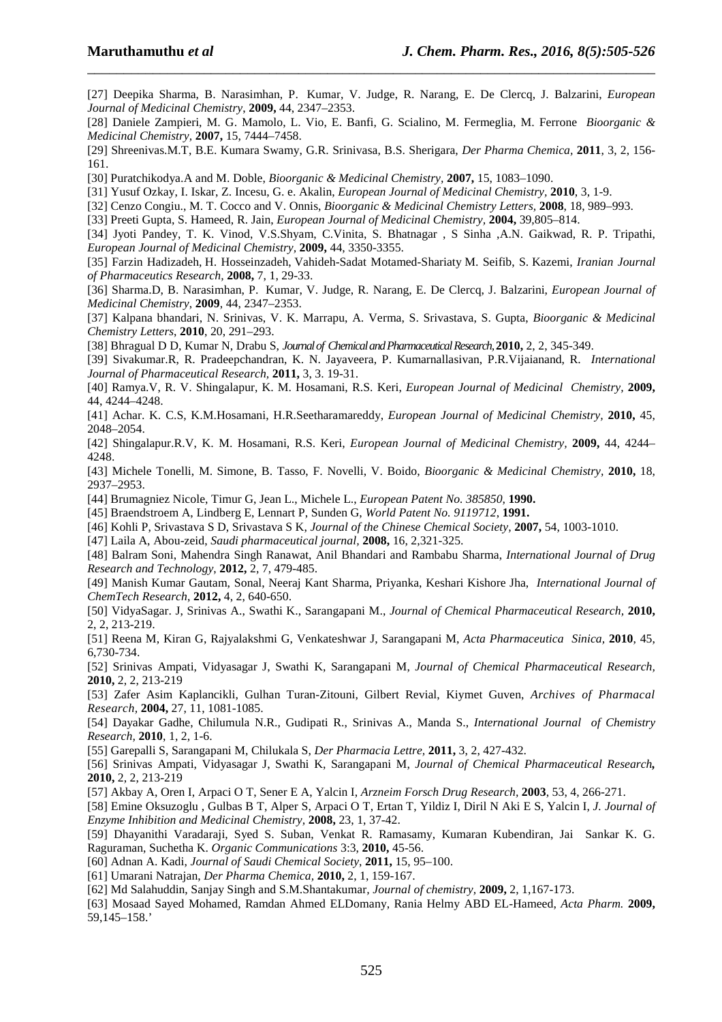[27] Deepika Sharma, B. Narasimhan, P. Kumar, V. Judge, R. Narang, E. De Clercq, J. Balzarini, *European Journal of Medicinal Chemistry*, **2009,** 44, 2347–2353.

\_\_\_\_\_\_\_\_\_\_\_\_\_\_\_\_\_\_\_\_\_\_\_\_\_\_\_\_\_\_\_\_\_\_\_\_\_\_\_\_\_\_\_\_\_\_\_\_\_\_\_\_\_\_\_\_\_\_\_\_\_\_\_\_\_\_\_\_\_\_\_\_\_\_\_\_\_\_

[28] Daniele Zampieri, M. G. Mamolo, L. Vio, E. Banfi, G. Scialino, M. Fermeglia, M. Ferrone *Bioorganic & Medicinal Chemistry,* **2007,** 15, 7444–7458.

[29] Shreenivas.M.T, B.E. Kumara Swamy, G.R. Srinivasa, B.S. Sherigara, *Der Pharma Chemica,* **2011**, 3, 2, 156- 161.

[30] Puratchikodya.A and M. Doble, *Bioorganic & Medicinal Chemistry,* **2007,** 15, 1083–1090.

[31] Yusuf Ozkay, I. Iskar, Z. Incesu, G. e. Akalin, *European Journal of Medicinal Chemistry,* **2010**, 3, 1-9.

[32] Cenzo Congiu., M. T. Cocco and V. Onnis, *Bioorganic & Medicinal Chemistry Letters,* **2008**, 18, 989–993.

[33] Preeti Gupta, S. Hameed, R. Jain, *European Journal of Medicinal Chemistry,* **2004,** 39,805–814.

[34] Jyoti Pandey, T. K. Vinod, V.S.Shyam, C.Vinita, S. Bhatnagar , S Sinha ,A.N. Gaikwad, R. P. Tripathi, *European Journal of Medicinal Chemistry,* **2009,** 44, 3350-3355.

[35] Farzin Hadizadeh, H. Hosseinzadeh, Vahideh-Sadat Motamed-Shariaty M. Seifib, S. Kazemi, *Iranian Journal of Pharmaceutics Research,* **2008,** 7, 1, 29-33.

[36] Sharma.D, B. Narasimhan, P. Kumar, V. Judge, R. Narang, E. De Clercq, J. Balzarini, *European Journal of Medicinal Chemistry*, **2009**, 44, 2347–2353.

[37] Kalpana bhandari, N. Srinivas, V. K. Marrapu, A. Verma, S. Srivastava, S. Gupta, *Bioorganic & Medicinal Chemistry Letters*, **2010**, 20, 291–293.

[38] Bhragual D D, Kumar N, Drabu S, *Journal of Chemical and Pharmaceutical Research,* **2010,** 2, 2, 345-349.

[39] Sivakumar.R, R. Pradeepchandran, K. N. Jayaveera, P. Kumarnallasivan, P.R.Vijaianand, R. *International Journal of Pharmaceutical Research,* **2011,** 3, 3. 19-31.

[40] Ramya.V, R. V. Shingalapur, K. M. Hosamani, R.S. Keri, *European Journal of Medicinal Chemistry,* **2009,** 44, 4244–4248.

[41] Achar. K. C.S, K.M.Hosamani, H.R.Seetharamareddy, *European Journal of Medicinal Chemistry,* **2010,** 45, 2048–2054.

[42] Shingalapur.R.V, K. M. Hosamani, R.S. Keri, *European Journal of Medicinal Chemistry,* **2009,** 44, 4244– 4248.

[43] Michele Tonelli, M. Simone, B. Tasso, F. Novelli, V. Boido, *Bioorganic & Medicinal Chemistry,* **2010,** 18, 2937–2953.

[44] Brumagniez Nicole, Timur G, Jean L., Michele L., *European Patent No. 385850,* **1990.** 

[45] Braendstroem A, Lindberg E, Lennart P, Sunden G, *World Patent No. 9119712*, **1991.**

[46] Kohli P, Srivastava S D, Srivastava S K, *Journal of the Chinese Chemical Society,* **2007,** 54, 1003-1010.

[47] Laila A, Abou-zeid, *Saudi pharmaceutical journal,* **2008,** 16, 2,321-325.

[48] Balram Soni, Mahendra Singh Ranawat, Anil Bhandari and Rambabu Sharma, *International Journal of Drug Research and Technology*, **2012,** 2, 7, 479-485.

[49] Manish Kumar Gautam, Sonal, Neeraj Kant Sharma, Priyanka, Keshari Kishore Jha, *International Journal of ChemTech Research*, **2012,** 4, 2, 640-650.

[50] VidyaSagar. J, Srinivas A., Swathi K., Sarangapani M., *Journal of Chemical Pharmaceutical Research,* **2010,** 2, 2, 213-219.

[51] Reena M, Kiran G, Rajyalakshmi G, Venkateshwar J, Sarangapani M, *Acta Pharmaceutica Sinica,* **2010**, 45, 6,730-734.

[52] Srinivas Ampati, Vidyasagar J, Swathi K, Sarangapani M, *Journal of Chemical Pharmaceutical Research,* **2010,** 2, 2, 213-219

[53] Zafer Asim Kaplancikli, Gulhan Turan-Zitouni, Gilbert Revial, Kiymet Guven, *Archives of Pharmacal Research,* **2004,** 27, 11, 1081-1085.

[54] Dayakar Gadhe, Chilumula N.R., Gudipati R., Srinivas A., Manda S., *International Journal of Chemistry Research,* **2010**, 1, 2, 1-6.

[55] Garepalli S, Sarangapani M, Chilukala S, *Der Pharmacia Lettre,* **2011,** 3, 2, 427-432.

[56] Srinivas Ampati, Vidyasagar J, Swathi K, Sarangapani M, *Journal of Chemical Pharmaceutical Research,* **2010,** 2, 2, 213-219

[57] Akbay A, Oren I, Arpaci O T, Sener E A, Yalcin I, *Arzneim Forsch Drug Research,* **2003**, 53, 4, 266-271.

[58] Emine Oksuzoglu , Gulbas B T, Alper S, Arpaci O T, Ertan T, Yildiz I, Diril N Aki E S, Yalcin I, *J. Journal of Enzyme Inhibition and Medicinal Chemistry,* **2008,** 23, 1, 37-42.

[59] Dhayanithi Varadaraji, Syed S. Suban, Venkat R. Ramasamy, Kumaran Kubendiran, Jai Sankar K. G. Raguraman, Suchetha K. *Organic Communications* 3:3, **2010,** 45-56.

[60] Adnan A. Kadi, *Journal of Saudi Chemical Society*, **2011,** 15, 95–100.

[61] Umarani Natrajan, *Der Pharma Chemica,* **2010,** 2, 1, 159-167.

[62] Md Salahuddin, Sanjay Singh and S.M.Shantakumar*, Journal of chemistry,* **2009,** 2, 1,167-173.

[63] Mosaad Sayed Mohamed, Ramdan Ahmed ELDomany, Rania Helmy ABD EL-Hameed, *Acta Pharm.* **2009,**  59,145–158.'